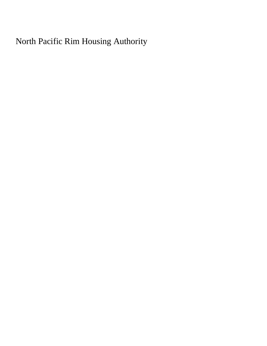North Pacific Rim Housing Authority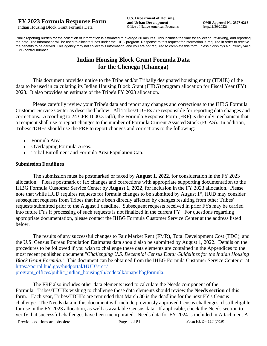Public reporting burden for the collection of information is estimated to average 30 minutes. This includes the time for collecting, reviewing, and reporting the data. The information will be used to allocate funds under the IHBG program. Response to this request for information is required in order to receive the benefits to be derived. This agency may not collect this information, and you are not required to complete this form unless it displays a currently valid OMB control number.

# **Indian Housing Block Grant Formula Data for the Chenega (Chanega)**

This document provides notice to the Tribe and/or Tribally designated housing entity (TDHE) of the data to be used in calculating its Indian Housing Block Grant (IHBG) program allocation for Fiscal Year (FY) 2023. It also provides an estimate of the Tribe's FY 2023 allocation.

Please carefully review your Tribe's data and report any changes and corrections to the IHBG Formula Customer Service Center as described below. All Tribes/TDHEs are responsible for reporting data changes and corrections. According to 24 CFR 1000.315(b), the Formula Response Form (FRF) is the only mechanism that a recipient shall use to report changes to the number of Formula Current Assisted Stock (FCAS). In addition, Tribes/TDHEs should use the FRF to report changes and corrections to the following:

- Formula Area.
- Overlapping Formula Areas.
- Tribal Enrollment and Formula Area Population Cap.

#### **Submission Deadlines**

The submission must be postmarked or faxed by **August 1, 2022**, for consideration in the FY 2023 allocation. Please postmark or fax changes and corrections with appropriate supporting documentation to the IHBG Formula Customer Service Center by **August 1, 2022**, for inclusion in the FY 2023 allocation. Please note that while HUD requires requests for formula changes to be submitted by August 1<sup>st</sup>, HUD may consider subsequent requests from Tribes that have been directly affected by changes resulting from other Tribes' requests submitted prior to the August 1 deadline. Subsequent requests received in prior FYs may be carried into future FYs if processing of such requests is not finalized in the current FY. For questions regarding appropriate documentation, please contact the IHBG Formula Customer Service Center at the address listed below.

The results of any successful changes to Fair Market Rent (FMR), Total Development Cost (TDC), and the U.S. Census Bureau Population Estimates data should also be submitted by August 1, 2022. Details on the procedures to be followed if you wish to challenge these data elements are contained in the Appendices to the most recent published document "*Challenging U.S. Decennial Census Data: Guidelines for the Indian Housing Block Grant Formula.*" This document can be obtained from the IHBG Formula Customer Service Center or at: [https://portal.hud.gov/hudportal/HUD?src=/](https://portal.hud.gov/hudportal/HUD?src=/program_offices/public_indian_housing/ih/codetalk/onap/ihbgformula) 

[program\\_offices/public\\_indian\\_housing/ih/codetalk/onap/ihbgformula.](https://portal.hud.gov/hudportal/HUD?src=/program_offices/public_indian_housing/ih/codetalk/onap/ihbgformula)

The FRF also includes other data elements used to calculate the Needs component of the Formula. Tribes/TDHEs wishing to challenge these data elements should review the **Needs section** of this form. Each year, Tribes/TDHEs are reminded that March 30 is the deadline for the next FY's Census challenge. The Needs data in this document will include previously approved Census challenges, if still eligible for use in the FY 2023 allocation, as well as available Census data. If applicable, check the Needs section to verify that successful challenges have been incorporated. Needs data for FY 2024 is included in Attachment A

Previous editions are obsolete Page 1 of 81 Form HUD-4117 (7/19)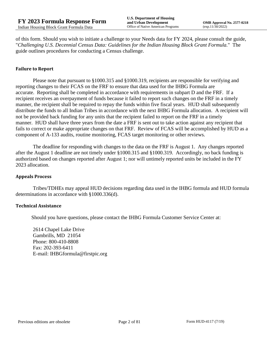of this form. Should you wish to initiate a challenge to your Needs data for FY 2024, please consult the guide, "*Challenging U.S. Decennial Census Data: Guidelines for the Indian Housing Block Grant Formula.*" The guide outlines procedures for conducting a Census challenge.

## **Failure to Report**

Please note that pursuant to §1000.315 and §1000.319, recipients are responsible for verifying and reporting changes to their FCAS on the FRF to ensure that data used for the IHBG Formula are accurate. Reporting shall be completed in accordance with requirements in subpart D and the FRF. If a recipient receives an overpayment of funds because it failed to report such changes on the FRF in a timely manner, the recipient shall be required to repay the funds within five fiscal years. HUD shall subsequently distribute the funds to all Indian Tribes in accordance with the next IHBG Formula allocation. A recipient will not be provided back funding for any units that the recipient failed to report on the FRF in a timely manner. HUD shall have three years from the date a FRF is sent out to take action against any recipient that fails to correct or make appropriate changes on that FRF. Review of FCAS will be accomplished by HUD as a component of A-133 audits, routine monitoring, FCAS target monitoring or other reviews.

The deadline for responding with changes to the data on the FRF is August 1. Any changes reported after the August 1 deadline are not timely under §1000.315 and §1000.319. Accordingly, no back funding is authorized based on changes reported after August 1; nor will untimely reported units be included in the FY 2023 allocation.

#### **Appeals Process**

Tribes/TDHEs may appeal HUD decisions regarding data used in the IHBG formula and HUD formula determinations in accordance with §1000.336(d).

#### **Technical Assistance**

Should you have questions, please contact the IHBG Formula Customer Service Center at:

2614 Chapel Lake Drive Gambrills, MD 21054 Phone: 800-410-8808 Fax: 202-393-6411 E-mail: IHBGformula@firstpic.org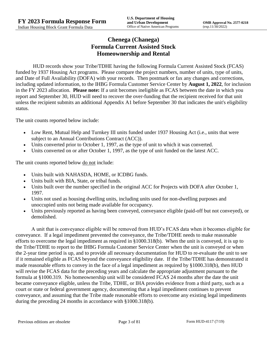# **Chenega (Chanega) Formula Current Assisted Stock Homeownership and Rental**

HUD records show your Tribe/TDHE having the following Formula Current Assisted Stock (FCAS) funded by 1937 Housing Act programs. Please compare the project numbers, number of units, type of units, and Date of Full Availability (DOFA) with your records. Then postmark or fax any changes and corrections, including updated information, to the IHBG Formula Customer Service Center by **August 1, 2022**, for inclusion in the FY 2023 allocation. **Please note:** If a unit becomes ineligible as FCAS between the date in which you report and September 30, HUD will need to recover the over-funding that the recipient received for that unit unless the recipient submits an additional Appendix A1 before September 30 that indicates the unit's eligibility status.

The unit counts reported below include:

- Low Rent, Mutual Help and Turnkey III units funded under 1937 Housing Act (i.e., units that were subject to an Annual Contributions Contract (ACC)).
- Units converted prior to October 1, 1997, as the type of unit to which it was converted.
- Units converted on or after October 1, 1997, as the type of unit funded on the latest ACC.

The unit counts reported below <u>do not</u> include:

- Units built with NAHASDA, HOME, or ICDBG funds.
- Units built with BIA, State, or tribal funds.
- Units built over the number specified in the original ACC for Projects with DOFA after October 1, 1997.
- Units not used as housing dwelling units, including units used for non-dwelling purposes and unoccupied units not being made available for occupancy.
- Units previously reported as having been conveyed, conveyance eligible (paid-off but not conveyed), or demolished.

A unit that is conveyance eligible will be removed from HUD's FCAS data when it becomes eligible for conveyance. If a legal impediment prevented the conveyance, the Tribe/TDHE needs to make reasonable efforts to overcome the legal impediment as required in §1000.318(b). When the unit is conveyed, it is up to the Tribe/TDHE to report to the IHBG Formula Customer Service Center when the unit is conveyed or when the 2-year time period is up, and to provide all necessary documentation for HUD to re-evaluate the unit to see if it remained eligible as FCAS beyond the conveyance eligibility date. If the Tribe/TDHE has demonstrated it made reasonable efforts to convey in the face of a legal impediment as required by §1000.318(b), then HUD will revise the FCAS data for the preceding years and calculate the appropriate adjustment pursuant to the formula at §1000.319. No homeownership unit will be considered FCAS 24 months after the date the unit became conveyance eligible, unless the Tribe, TDHE, or IHA provides evidence from a third party, such as a court or state or federal government agency, documenting that a legal impediment continues to prevent conveyance, and assuming that the Tribe made reasonable efforts to overcome any existing legal impediments during the preceding 24 months in accordance with §1000.318(b).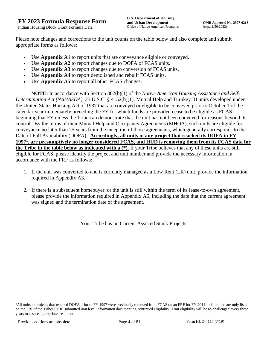Please note changes and corrections to the unit counts on the table below and also complete and submit appropriate forms as follows:

- Use **Appendix A1** to report units that are conveyance eligible or conveyed.
- Use **Appendix A2** to report changes due to DOFA of FCAS units.
- Use **Appendix A3** to report changes due to conversion of FCAS units.
- Use **Appendix A4** to report demolished and rebuilt FCAS units.
- Use **Appendix A5** to report all other FCAS changes.

**NOTE:** In accordance with Section 302(b)(1) of the *Native American Housing Assistance and Self-Determination Act (NAHASDA)*, 25 U.S.C. § 4152(b)(1), Mutual Help and Turnkey III units developed under the United States Housing Act of 1937 that are conveyed or eligible to be conveyed prior to October 1 of the calendar year immediately preceding the FY for which funds are provided cease to be eligible as FCAS beginning that FY unless the Tribe can demonstrate that the unit has not been conveyed for reasons beyond its control. By the terms of their Mutual Help and Occupancy Agreements (MHOA), such units are eligible for conveyance no later than 25 years from the inception of those agreements, which generally corresponds to the Date of Full Availability (DOFA). **Accordingly, all units in any project that reached its DOFA in FY 1997<sup>1</sup> , are presumptively no longer considered FCAS, and HUD is removing them from its FCAS data for the Tribe in the table below as indicated with a (\*).** If your Tribe believes that any of these units are still eligible for FCAS, please identify the project and unit number and provide the necessary information in accordance with the FRF as follows:

- 1. If the unit was converted to and is currently managed as a Low Rent (LR) unit, provide the information required in Appendix A3.
- 2. If there is a subsequent homebuyer, or the unit is still within the term of its lease-to-own agreement, please provide the information required in Appendix A5, including the date that the current agreement was signed and the termination date of the agreement.

Your Tribe has no Current Assisted Stock Projects

<sup>1</sup>All units in projects that reached DOFA prior to FY 1997 were previously removed from FCAS on an FRF for FY 2014 or later, and are only listed on the FRF if the Tribe/TDHE submitted unit level information documenting continued eligibility. Unit eligibility will be re-challenged every three years to assure appropriate treatment.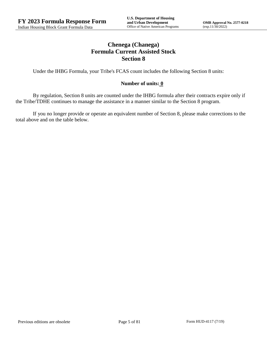# **Chenega (Chanega) Formula Current Assisted Stock Section 8**

Under the IHBG Formula, your Tribe's FCAS count includes the following Section 8 units:

## **Number of units: 0**

By regulation, Section 8 units are counted under the IHBG formula after their contracts expire only if the Tribe/TDHE continues to manage the assistance in a manner similar to the Section 8 program.

If you no longer provide or operate an equivalent number of Section 8, please make corrections to the total above and on the table below.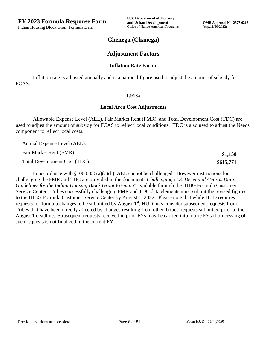**\$1,150 \$615,771**

## **Chenega (Chanega)**

## **Adjustment Factors**

## **Inflation Rate Factor**

Inflation rate is adjusted annually and is a national figure used to adjust the amount of subsidy for FCAS.

#### **1.91%**

#### **Local Area Cost Adjustments**

Allowable Expense Level (AEL), Fair Market Rent (FMR), and Total Development Cost (TDC) are used to adjust the amount of subsidy for FCAS to reflect local conditions. TDC is also used to adjust the Needs component to reflect local costs.

Annual Expense Level (AEL):

Fair Market Rent (FMR):

Total Development Cost (TDC):

In accordance with §1000.336(a)(7)(b), AEL cannot be challenged. However instructions for challenging the FMR and TDC are provided in the document "*Challenging U.S. Decennial Census Data: Guidelines for the Indian Housing Block Grant Formula*" available through the IHBG Formula Customer Service Center. Tribes successfully challenging FMR and TDC data elements must submit the revised figures to the IHBG Formula Customer Service Center by August 1, 2022. Please note that while HUD requires requests for formula changes to be submitted by August 1<sup>st</sup>, HUD may consider subsequent requests from Tribes that have been directly affected by changes resulting from other Tribes' requests submitted prior to the August 1 deadline. Subsequent requests received in prior FYs may be carried into future FYs if processing of such requests is not finalized in the current FY.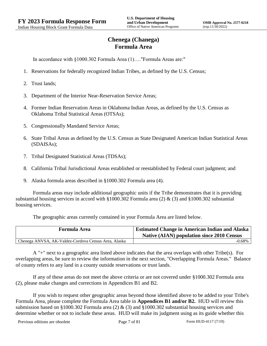# **Chenega (Chanega) Formula Area**

In accordance with §1000.302 Formula Area (1)…."Formula Areas are:"

- 1. Reservations for federally recognized Indian Tribes, as defined by the U.S. Census;
- 2. Trust lands;
- 3. Department of the Interior Near-Reservation Service Areas;
- 4. Former Indian Reservation Areas in Oklahoma Indian Areas, as defined by the U.S. Census as Oklahoma Tribal Statistical Areas (OTSAs);
- 5. Congressionally Mandated Service Areas;
- 6. State Tribal Areas as defined by the U.S. Census as State Designated American Indian Statistical Areas (SDAISAs);
- 7. Tribal Designated Statistical Areas (TDSAs);
- 8. California Tribal Jurisdictional Areas established or reestablished by Federal court judgment; and
- 9. Alaska formula areas described in §1000.302 Formula area (4).

Formula areas may include additional geographic units if the Tribe demonstrates that it is providing substantial housing services in accord with §1000.302 Formula area (2) & (3) and §1000.302 substantial housing services.

The geographic areas currently contained in your Formula Area are listed below.

| <b>Formula Area</b>                                  | <b>Estimated Change in American Indian and Alaska</b><br><b>Native (AIAN) population since 2010 Census</b> |
|------------------------------------------------------|------------------------------------------------------------------------------------------------------------|
| Chenega ANVSA, AK-Valdez-Cordova Census Area, Alaska | $-0.68\%$                                                                                                  |

A "+" next to a geographic area listed above indicates that the area overlaps with other Tribe(s). For overlapping areas, be sure to review the information in the next section, "Overlapping Formula Areas." Balance of county refers to any land in a county outside reservations or trust lands.

If any of these areas do not meet the above criteria or are not covered under §1000.302 Formula area (2), please make changes and corrections in Appendices B1 and B2.

If you wish to request other geographic areas beyond those identified above to be added to your Tribe's Formula Area, please complete the Formula Area table in **Appendices B1 and/or B2.** HUD will review this submission based on §1000.302 Formula area (2) & (3) and §1000.302 substantial housing services and determine whether or not to include these areas. HUD will make its judgment using as its guide whether this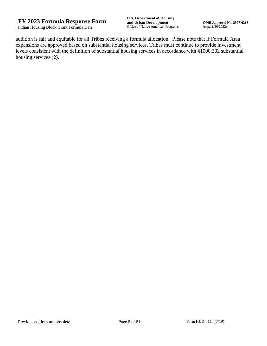addition is fair and equitable for all Tribes receiving a formula allocation. Please note that if Formula Area expansions are approved based on substantial housing services, Tribes must continue to provide investment levels consistent with the definition of substantial housing services in accordance with §1000.302 substantial housing services (2).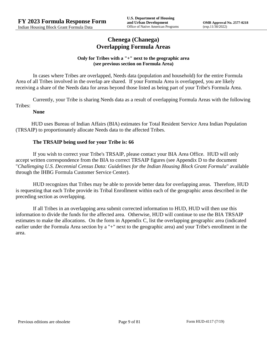## **Chenega (Chanega) Overlapping Formula Areas**

## **Only for Tribes with a "+" next to the geographic area (see previous section on Formula Area)**

In cases where Tribes are overlapped, Needs data (population and household) for the entire Formula Area of all Tribes involved in the overlap are shared. If your Formula Area is overlapped, you are likely receiving a share of the Needs data for areas beyond those listed as being part of your Tribe's Formula Area.

Currently, your Tribe is sharing Needs data as a result of overlapping Formula Areas with the following Tribes:

## **None**

HUD uses Bureau of Indian Affairs (BIA) estimates for Total Resident Service Area Indian Population (TRSAIP) to proportionately allocate Needs data to the affected Tribes.

## **The TRSAIP being used for your Tribe is: 66**

If you wish to correct your Tribe's TRSAIP, please contact your BIA Area Office. HUD will only accept written correspondence from the BIA to correct TRSAIP figures (see Appendix D to the document "*Challenging U.S. Decennial Census Data: Guidelines for the Indian Housing Block Grant Formula*" available through the IHBG Formula Customer Service Center).

HUD recognizes that Tribes may be able to provide better data for overlapping areas. Therefore, HUD is requesting that each Tribe provide its Tribal Enrollment within each of the geographic areas described in the preceding section as overlapping.

If all Tribes in an overlapping area submit corrected information to HUD, HUD will then use this information to divide the funds for the affected area. Otherwise, HUD will continue to use the BIA TRSAIP estimates to make the allocations. On the form in Appendix C, list the overlapping geographic area (indicated earlier under the Formula Area section by a "+" next to the geographic area) and your Tribe's enrollment in the area.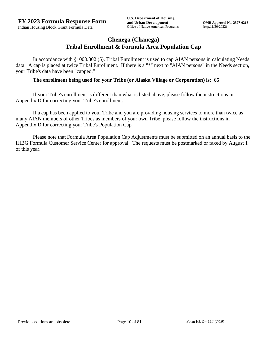## **Chenega (Chanega) Tribal Enrollment & Formula Area Population Cap**

In accordance with §1000.302 (5), Tribal Enrollment is used to cap AIAN persons in calculating Needs data. A cap is placed at twice Tribal Enrollment. If there is a "\*" next to "AIAN persons" in the Needs section, your Tribe's data have been "capped."

## **The enrollment being used for your Tribe (or Alaska Village or Corporation) is: 65**

If your Tribe's enrollment is different than what is listed above, please follow the instructions in Appendix D for correcting your Tribe's enrollment.

If a cap has been applied to your Tribe and you are providing housing services to more than twice as many AIAN members of other Tribes as members of your own Tribe, please follow the instructions in Appendix D for correcting your Tribe's Population Cap.

Please note that Formula Area Population Cap Adjustments must be submitted on an annual basis to the IHBG Formula Customer Service Center for approval. The requests must be postmarked or faxed by August 1 of this year.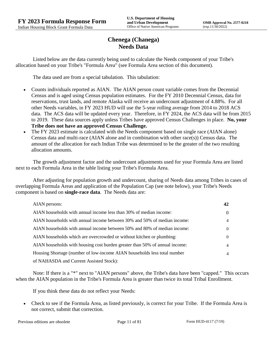# **Chenega (Chanega) Needs Data**

Listed below are the data currently being used to calculate the Needs component of your Tribe's allocation based on your Tribe's "Formula Area" (see Formula Area section of this document).

The data used are from a special tabulation. This tabulation:

- Counts individuals reported as AIAN. The AIAN person count variable comes from the Decennial Census and is aged using Census population estimates. For the FY 2010 Decennial Census, data for reservations, trust lands, and remote Alaska will receive an undercount adjustment of 4.88%. For all other Needs variables, in FY 2023 HUD will use the 5-year rolling average from 2014 to 2018 ACS data. The ACS data will be updated every year. Therefore, in FY 2024, the ACS data will be from 2015 to 2019. These data sources apply unless Tribes have approved Census Challenges in place. **No, your Tribe does not have an approved Census Challenge.**
- The FY 2023 estimate is calculated with the Needs component based on single race (AIAN alone) Census data and multi-race (AIAN alone and in combination with other race(s)) Census data. The amount of the allocation for each Indian Tribe was determined to be the greater of the two resulting allocation amounts.

The growth adjustment factor and the undercount adjustments used for your Formula Area are listed next to each Formula Area in the table listing your Tribe's Formula Area.

After adjusting for population growth and undercount, sharing of Needs data among Tribes in cases of overlapping Formula Areas and application of the Population Cap (see note below), your Tribe's Needs component is based on **single-race data**. The Needs data are:

| AIAN persons:                                                               | 42             |
|-----------------------------------------------------------------------------|----------------|
| AIAN households with annual income less than 30% of median income:          | $\theta$       |
| AIAN households with annual income between 30% and 50% of median income:    | $\overline{4}$ |
| AIAN households with annual income between 50% and 80% of median income:    | $\Omega$       |
| AIAN households which are overcrowded or without kitchen or plumbing:       | $\left($       |
| AIAN households with housing cost burden greater than 50% of annual income: | 4              |
| Housing Shortage (number of low-income AIAN households less total number    | $\overline{4}$ |
| of NAHASDA and Current Assisted Stock):                                     |                |

Note: If there is a "\*" next to "AIAN persons" above, the Tribe's data have been "capped." This occurs when the AIAN population in the Tribe's Formula Area is greater than twice its total Tribal Enrollment.

If you think these data do not reflect your Needs:

 Check to see if the Formula Area, as listed previously, is correct for your Tribe. If the Formula Area is not correct, submit that correction.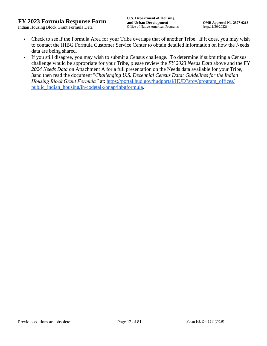- Check to see if the Formula Area for your Tribe overlaps that of another Tribe. If it does, you may wish to contact the IHBG Formula Customer Service Center to obtain detailed information on how the Needs data are being shared.
- If you still disagree, you may wish to submit a Census challenge. To determine if submitting a Census challenge would be appropriate for your Tribe, please review the *FY 2023 Needs Data* above and the FY *2024 Needs Data* on Attachment A for a full presentation on the Needs data available for your Tribe, 3and then read the document "*Challenging U.S. Decennial Census Data: Guidelines for the Indian Housing Block Grant Formula*" at: https://portal.hud.gov/hudportal/HUD?src=/program\_offices/ [public\\_indian\\_housing/ih/codetalk/onap/ihbgformula.](https://portal.hud.gov/hudportal/HUD?src=/program_offices/public_indian_housing/ih/codetalk/onap/ihbgformula)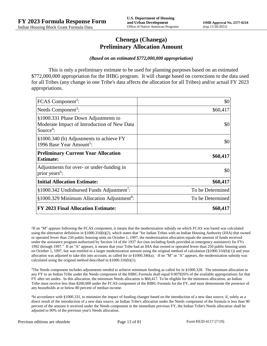## **Chenega (Chanega) Preliminary Allocation Amount**

#### *(Based on an estimated \$772,000,000 appropriation)*

This is only a preliminary estimate to be used for planning purposes based on an estimated \$772,000,000 appropriation for the IHBG program. It will change based on corrections to the data used for all Tribes (any change in one Tribe's data affects the allocation for all Tribes) and/or actual FY 2023 appropriations.

| FCAS Component <sup>2</sup> :                                                                               | \$0              |
|-------------------------------------------------------------------------------------------------------------|------------------|
| Needs Component <sup>3</sup> :                                                                              | \$60,417         |
| §1000.331 Phase Down Adjustments to<br>Moderate Impact of Introduction of New Data<br>Source <sup>4</sup> : | \$0              |
| §1000.340 (b) Adjustments to achieve FY<br>1996 Base Year Amount <sup>5</sup> :                             | \$0              |
| <b>Preliminary Current Year Allocation</b><br><b>Estimate:</b>                                              | \$60,417         |
| Adjustments for over- or under-funding in<br>prior years <sup>6</sup> :                                     | \$0              |
| <b>Initial Allocation Estimate:</b>                                                                         | \$60,417         |
| §1000.342 Undisbursed Funds Adjustment <sup>7</sup> :                                                       | To be Determined |
| §1000.329 Minimum Allocation Adjustment <sup>8</sup> :                                                      | To be Determined |
| <b>FY 2023 Final Allocation Estimate:</b>                                                                   | \$60,417         |

2 If an "M" appears following the FCAS component, it means that the modernization subsidy on which FCAS was based was calculated using the alternative definition in §1000.316(b)(2), which states that "for Indian Tribes with an Indian Housing Authority (IHA) that owned or operated fewer than 250 public housing units on October 1, 1997, the modernization allocation equals the amount of funds received under the assistance program authorized by Section 14 of the 1937 Act (not including funds provided as emergency assistance) for FYs 1992 through 1997." If an "A" appears, it means that your Tribe had an IHA that owned or operated fewer than 250 public housing units on October 1, 1997, but was entitled to a larger modernization amount using the original method of calculation (§1000.316(b)(1)) and your allocation was adjusted to take this into account, as called for in  $\S1000.340(a)$ . If no "M" or "A" appears, the modernization subsidy was calculated using the original method described in §1000.316(b)(1).

 $3$ The Needs component includes adjustments needed to achieve minimum funding as called for in §1000.328. The minimum allocation in any FY to an Indian Tribe under the Needs component of the IHBG Formula shall equal 0.007826% of the available appropriations for that FY after set asides. In this allocation, the minimum Needs allocation is \$60,417. To be eligible for the minimum allocation, an Indian Tribe must receive less than \$200,000 under the FCAS component of the IHBG Formula for the FY, and must demonstrate the presence of any households at or below 80 percent of median income.

4 In accordance with §1000.331, to minimize the impact of funding changes based on the introduction of a new data source, if, solely as a direct result of the introduction of a new data source, an Indian Tribe's allocation under the Needs component of the formula is less than 90 percent of the amount it received under the Needs component in the immediate previous FY, the Indian Tribe's Needs allocation shall be adjusted to 90% of the previous year's Needs allocation.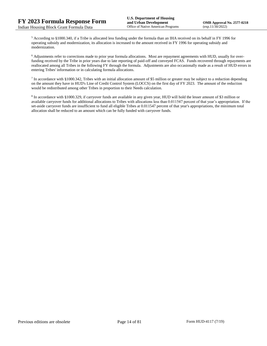<sup>5</sup> According to §1000.340, if a Tribe is allocated less funding under the formula than an IHA received on its behalf in FY 1996 for operating subsidy and modernization, its allocation is increased to the amount received in FY 1996 for operating subsidy and modernization.

<sup>6</sup> Adjustments refer to corrections made to prior year formula allocations. Most are repayment agreements with HUD, usually for overfunding received by the Tribe in prior years due to late reporting of paid-off and conveyed FCAS. Funds recovered through repayments are reallocated among all Tribes in the following FY through the formula. Adjustments are also occasionally made as a result of HUD errors in entering Tribes' information or in calculating formula allocations.

 $^7$  In accordance with §1000.342, Tribes with an initial allocation amount of \$5 million or greater may be subject to a reduction depending on the amount they have in HUD's Line of Credit Control System (LOCCS) on the first day of FY 2023. The amount of the reduction would be redistributed among other Tribes in proportion to their Needs calculation.

<sup>8</sup> In accordance with §1000.329, if carryover funds are available in any given year, HUD will hold the lesser amount of \$3 million or available carryover funds for additional allocations to Tribes with allocations less than 0.011547 percent of that year's appropriation. If the set-aside carryover funds are insufficient to fund all eligible Tribes at 0.011547 percent of that year's appropriations, the minimum total allocation shall be reduced to an amount which can be fully funded with carryover funds.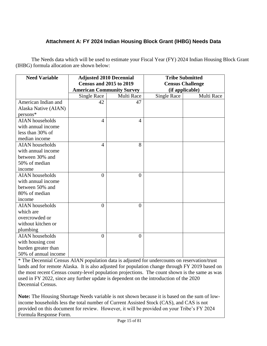# **Attachment A: FY 2024 Indian Housing Block Grant (IHBG) Needs Data**

The Needs data which will be used to estimate your Fiscal Year (FY) 2024 Indian Housing Block Grant (IHBG) formula allocation are shown below:

| <b>Need Variable</b>   | <b>Adjusted 2010 Decennial</b>   |                | <b>Tribe Submitted</b>  |            |
|------------------------|----------------------------------|----------------|-------------------------|------------|
|                        | <b>Census and 2015 to 2019</b>   |                | <b>Census Challenge</b> |            |
|                        | <b>American Community Survey</b> |                | (if applicable)         |            |
|                        | <b>Single Race</b>               | Multi Race     | Single Race             | Multi Race |
| American Indian and    | 42                               | 47             |                         |            |
| Alaska Native (AIAN)   |                                  |                |                         |            |
| persons*               |                                  |                |                         |            |
| <b>AIAN</b> households | $\overline{4}$                   | $\overline{A}$ |                         |            |
| with annual income     |                                  |                |                         |            |
| less than 30% of       |                                  |                |                         |            |
| median income          |                                  |                |                         |            |
| <b>AIAN</b> households | 4                                | 8              |                         |            |
| with annual income     |                                  |                |                         |            |
| between 30% and        |                                  |                |                         |            |
| 50% of median          |                                  |                |                         |            |
| income                 |                                  |                |                         |            |
| <b>AIAN</b> households | $\overline{0}$                   | $\theta$       |                         |            |
| with annual income     |                                  |                |                         |            |
| between 50% and        |                                  |                |                         |            |
| 80% of median          |                                  |                |                         |            |
| income                 |                                  |                |                         |            |
| <b>AIAN</b> households | $\theta$                         | $\Omega$       |                         |            |
| which are              |                                  |                |                         |            |
| overcrowded or         |                                  |                |                         |            |
| without kitchen or     |                                  |                |                         |            |
| plumbing               |                                  |                |                         |            |
| <b>AIAN</b> households | $\theta$                         | $\theta$       |                         |            |
| with housing cost      |                                  |                |                         |            |
| burden greater than    |                                  |                |                         |            |
| 50% of annual income   |                                  |                |                         |            |

\* The Decennial Census AIAN population data is adjusted for undercounts on reservation/trust lands and for remote Alaska. It is also adjusted for population change through FY 2019 based on the most recent Census county-level population projections. The count shown is the same as was used in FY 2022, since any further update is dependent on the introduction of the 2020 Decennial Census.

**Note:** The Housing Shortage Needs variable is not shown because it is based on the sum of lowincome households less the total number of Current Assisted Stock (CAS), and CAS is not provided on this document for review. However, it will be provided on your Tribe's FY 2024 Formula Response Form.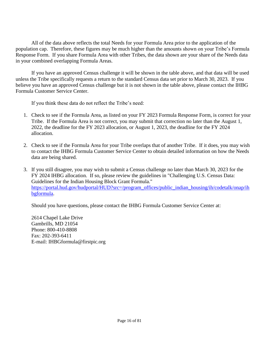All of the data above reflects the total Needs for your Formula Area prior to the application of the population cap. Therefore, these figures may be much higher than the amounts shown on your Tribe's Formula Response Form. If you share Formula Area with other Tribes, the data shown are your share of the Needs data in your combined overlapping Formula Areas.

If you have an approved Census challenge it will be shown in the table above, and that data will be used unless the Tribe specifically requests a return to the standard Census data set prior to March 30, 2023. If you believe you have an approved Census challenge but it is not shown in the table above, please contact the IHBG Formula Customer Service Center.

If you think these data do not reflect the Tribe's need:

- 1. Check to see if the Formula Area, as listed on your FY 2023 Formula Response Form, is correct for your Tribe. If the Formula Area is not correct, you may submit that correction no later than the August 1, 2022, the deadline for the FY 2023 allocation, or August 1, 2023, the deadline for the FY 2024 allocation.
- 2. Check to see if the Formula Area for your Tribe overlaps that of another Tribe. If it does, you may wish to contact the IHBG Formula Customer Service Center to obtain detailed information on how the Needs data are being shared.
- 3. If you still disagree, you may wish to submit a Census challenge no later than March 30, 2023 for the FY 2024 IHBG allocation. If so, please review the guidelines in "Challenging U.S. Census Data: Guidelines for the Indian Housing Block Grant Formula." [https://portal.hud.gov/hudportal/HUD?src=/program\\_offices/public\\_indian\\_housing/ih/codetalk/onap/ih](https://portal.hud.gov/hudportal/HUD?src=/program_offices/public_indian_housing/ih/codetalk/onap/ihbgformula) [bgformula.](https://portal.hud.gov/hudportal/HUD?src=/program_offices/public_indian_housing/ih/codetalk/onap/ihbgformula)

Should you have questions, please contact the IHBG Formula Customer Service Center at:

2614 Chapel Lake Drive Gambrills, MD 21054 Phone: 800-410-8808 Fax: 202-393-6411 E-mail: IHBGformula@firstpic.org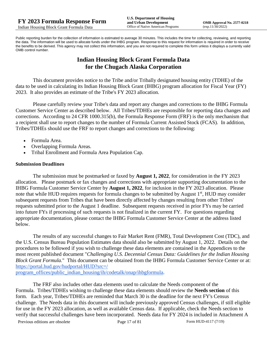Public reporting burden for the collection of information is estimated to average 30 minutes. This includes the time for collecting, reviewing, and reporting the data. The information will be used to allocate funds under the IHBG program. Response to this request for information is required in order to receive the benefits to be derived. This agency may not collect this information, and you are not required to complete this form unless it displays a currently valid OMB control number.

# **Indian Housing Block Grant Formula Data for the Chugach Alaska Corporation**

This document provides notice to the Tribe and/or Tribally designated housing entity (TDHE) of the data to be used in calculating its Indian Housing Block Grant (IHBG) program allocation for Fiscal Year (FY) 2023. It also provides an estimate of the Tribe's FY 2023 allocation.

Please carefully review your Tribe's data and report any changes and corrections to the IHBG Formula Customer Service Center as described below. All Tribes/TDHEs are responsible for reporting data changes and corrections. According to 24 CFR 1000.315(b), the Formula Response Form (FRF) is the only mechanism that a recipient shall use to report changes to the number of Formula Current Assisted Stock (FCAS). In addition, Tribes/TDHEs should use the FRF to report changes and corrections to the following:

- Formula Area.
- Overlapping Formula Areas.
- Tribal Enrollment and Formula Area Population Cap.

## **Submission Deadlines**

The submission must be postmarked or faxed by **August 1, 2022**, for consideration in the FY 2023 allocation. Please postmark or fax changes and corrections with appropriate supporting documentation to the IHBG Formula Customer Service Center by **August 1, 2022**, for inclusion in the FY 2023 allocation. Please note that while HUD requires requests for formula changes to be submitted by August 1<sup>st</sup>, HUD may consider subsequent requests from Tribes that have been directly affected by changes resulting from other Tribes' requests submitted prior to the August 1 deadline. Subsequent requests received in prior FYs may be carried into future FYs if processing of such requests is not finalized in the current FY. For questions regarding appropriate documentation, please contact the IHBG Formula Customer Service Center at the address listed below.

The results of any successful changes to Fair Market Rent (FMR), Total Development Cost (TDC), and the U.S. Census Bureau Population Estimates data should also be submitted by August 1, 2022. Details on the procedures to be followed if you wish to challenge these data elements are contained in the Appendices to the most recent published document "*Challenging U.S. Decennial Census Data: Guidelines for the Indian Housing Block Grant Formula.*" This document can be obtained from the IHBG Formula Customer Service Center or at: [https://portal.hud.gov/hudportal/HUD?src=/](https://portal.hud.gov/hudportal/HUD?src=/program_offices/public_indian_housing/ih/codetalk/onap/ihbgformula) 

[program\\_offices/public\\_indian\\_housing/ih/codetalk/onap/ihbgformula.](https://portal.hud.gov/hudportal/HUD?src=/program_offices/public_indian_housing/ih/codetalk/onap/ihbgformula)

The FRF also includes other data elements used to calculate the Needs component of the Formula. Tribes/TDHEs wishing to challenge these data elements should review the **Needs section** of this form. Each year, Tribes/TDHEs are reminded that March 30 is the deadline for the next FY's Census challenge. The Needs data in this document will include previously approved Census challenges, if still eligible for use in the FY 2023 allocation, as well as available Census data. If applicable, check the Needs section to verify that successful challenges have been incorporated. Needs data for FY 2024 is included in Attachment A

Previous editions are obsolete Page 17 of 81 Form HUD-4117 (7/19)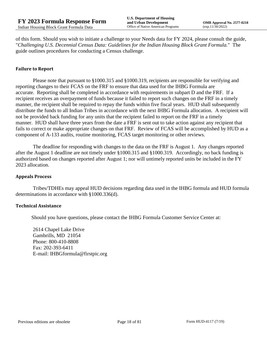of this form. Should you wish to initiate a challenge to your Needs data for FY 2024, please consult the guide, "*Challenging U.S. Decennial Census Data: Guidelines for the Indian Housing Block Grant Formula.*" The guide outlines procedures for conducting a Census challenge.

## **Failure to Report**

Please note that pursuant to §1000.315 and §1000.319, recipients are responsible for verifying and reporting changes to their FCAS on the FRF to ensure that data used for the IHBG Formula are accurate. Reporting shall be completed in accordance with requirements in subpart D and the FRF. If a recipient receives an overpayment of funds because it failed to report such changes on the FRF in a timely manner, the recipient shall be required to repay the funds within five fiscal years. HUD shall subsequently distribute the funds to all Indian Tribes in accordance with the next IHBG Formula allocation. A recipient will not be provided back funding for any units that the recipient failed to report on the FRF in a timely manner. HUD shall have three years from the date a FRF is sent out to take action against any recipient that fails to correct or make appropriate changes on that FRF. Review of FCAS will be accomplished by HUD as a component of A-133 audits, routine monitoring, FCAS target monitoring or other reviews.

The deadline for responding with changes to the data on the FRF is August 1. Any changes reported after the August 1 deadline are not timely under §1000.315 and §1000.319. Accordingly, no back funding is authorized based on changes reported after August 1; nor will untimely reported units be included in the FY 2023 allocation.

#### **Appeals Process**

Tribes/TDHEs may appeal HUD decisions regarding data used in the IHBG formula and HUD formula determinations in accordance with §1000.336(d).

#### **Technical Assistance**

Should you have questions, please contact the IHBG Formula Customer Service Center at:

2614 Chapel Lake Drive Gambrills, MD 21054 Phone: 800-410-8808 Fax: 202-393-6411 E-mail: IHBGformula@firstpic.org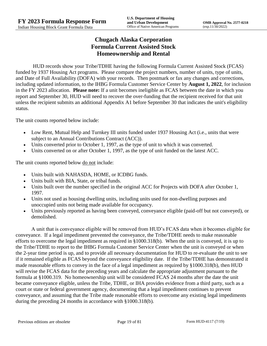# **Chugach Alaska Corporation Formula Current Assisted Stock Homeownership and Rental**

HUD records show your Tribe/TDHE having the following Formula Current Assisted Stock (FCAS) funded by 1937 Housing Act programs. Please compare the project numbers, number of units, type of units, and Date of Full Availability (DOFA) with your records. Then postmark or fax any changes and corrections, including updated information, to the IHBG Formula Customer Service Center by **August 1, 2022**, for inclusion in the FY 2023 allocation. **Please note:** If a unit becomes ineligible as FCAS between the date in which you report and September 30, HUD will need to recover the over-funding that the recipient received for that unit unless the recipient submits an additional Appendix A1 before September 30 that indicates the unit's eligibility status.

The unit counts reported below include:

- Low Rent, Mutual Help and Turnkey III units funded under 1937 Housing Act (i.e., units that were subject to an Annual Contributions Contract (ACC)).
- Units converted prior to October 1, 1997, as the type of unit to which it was converted.
- Units converted on or after October 1, 1997, as the type of unit funded on the latest ACC.

The unit counts reported below <u>do not</u> include:

- Units built with NAHASDA, HOME, or ICDBG funds.
- Units built with BIA, State, or tribal funds.
- Units built over the number specified in the original ACC for Projects with DOFA after October 1, 1997.
- Units not used as housing dwelling units, including units used for non-dwelling purposes and unoccupied units not being made available for occupancy.
- Units previously reported as having been conveyed, conveyance eligible (paid-off but not conveyed), or demolished.

A unit that is conveyance eligible will be removed from HUD's FCAS data when it becomes eligible for conveyance. If a legal impediment prevented the conveyance, the Tribe/TDHE needs to make reasonable efforts to overcome the legal impediment as required in §1000.318(b). When the unit is conveyed, it is up to the Tribe/TDHE to report to the IHBG Formula Customer Service Center when the unit is conveyed or when the 2-year time period is up, and to provide all necessary documentation for HUD to re-evaluate the unit to see if it remained eligible as FCAS beyond the conveyance eligibility date. If the Tribe/TDHE has demonstrated it made reasonable efforts to convey in the face of a legal impediment as required by §1000.318(b), then HUD will revise the FCAS data for the preceding years and calculate the appropriate adjustment pursuant to the formula at §1000.319. No homeownership unit will be considered FCAS 24 months after the date the unit became conveyance eligible, unless the Tribe, TDHE, or IHA provides evidence from a third party, such as a court or state or federal government agency, documenting that a legal impediment continues to prevent conveyance, and assuming that the Tribe made reasonable efforts to overcome any existing legal impediments during the preceding 24 months in accordance with §1000.318(b).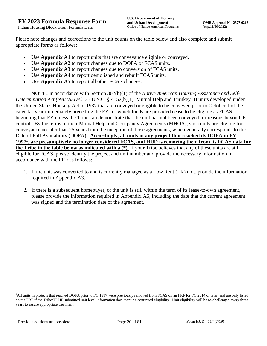Please note changes and corrections to the unit counts on the table below and also complete and submit appropriate forms as follows:

- Use **Appendix A1** to report units that are conveyance eligible or conveyed.
- Use **Appendix A2** to report changes due to DOFA of FCAS units.
- Use **Appendix A3** to report changes due to conversion of FCAS units.
- Use **Appendix A4** to report demolished and rebuilt FCAS units.
- Use **Appendix A5** to report all other FCAS changes.

**NOTE:** In accordance with Section 302(b)(1) of the *Native American Housing Assistance and Self-Determination Act (NAHASDA)*, 25 U.S.C. § 4152(b)(1), Mutual Help and Turnkey III units developed under the United States Housing Act of 1937 that are conveyed or eligible to be conveyed prior to October 1 of the calendar year immediately preceding the FY for which funds are provided cease to be eligible as FCAS beginning that FY unless the Tribe can demonstrate that the unit has not been conveyed for reasons beyond its control. By the terms of their Mutual Help and Occupancy Agreements (MHOA), such units are eligible for conveyance no later than 25 years from the inception of those agreements, which generally corresponds to the Date of Full Availability (DOFA). **Accordingly, all units in any project that reached its DOFA in FY 1997<sup>1</sup> , are presumptively no longer considered FCAS, and HUD is removing them from its FCAS data for the Tribe in the table below as indicated with a (\*).** If your Tribe believes that any of these units are still eligible for FCAS, please identify the project and unit number and provide the necessary information in accordance with the FRF as follows:

- 1. If the unit was converted to and is currently managed as a Low Rent (LR) unit, provide the information required in Appendix A3.
- 2. If there is a subsequent homebuyer, or the unit is still within the term of its lease-to-own agreement, please provide the information required in Appendix A5, including the date that the current agreement was signed and the termination date of the agreement.

<sup>1</sup>All units in projects that reached DOFA prior to FY 1997 were previously removed from FCAS on an FRF for FY 2014 or later, and are only listed on the FRF if the Tribe/TDHE submitted unit level information documenting continued eligibility. Unit eligibility will be re-challenged every three years to assure appropriate treatment.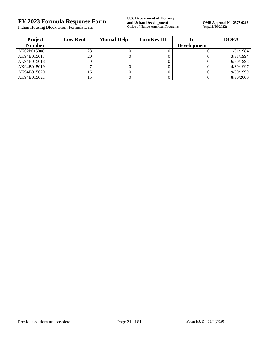Indian Housing Block Grant Formula Data

| <b>Project</b> | <b>Low Rent</b> | <b>Mutual Help</b> | <b>TurnKey III</b> | ın                 | <b>DOFA</b> |
|----------------|-----------------|--------------------|--------------------|--------------------|-------------|
| <b>Number</b>  |                 |                    |                    | <b>Development</b> |             |
| AK02P015008    | 23              |                    |                    |                    | 1/31/1984   |
| AK94B015017    | 20              |                    |                    |                    | 3/31/1994   |
| AK94B015018    |                 |                    |                    |                    | 6/30/1998   |
| AK94B015019    |                 |                    |                    |                    | 4/30/1997   |
| AK94B015020    |                 |                    |                    |                    | 9/30/1999   |
| AK94B015021    |                 |                    |                    |                    | 8/30/2000   |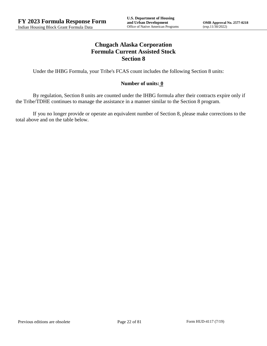# **Chugach Alaska Corporation Formula Current Assisted Stock Section 8**

Under the IHBG Formula, your Tribe's FCAS count includes the following Section 8 units:

## **Number of units: 0**

By regulation, Section 8 units are counted under the IHBG formula after their contracts expire only if the Tribe/TDHE continues to manage the assistance in a manner similar to the Section 8 program.

If you no longer provide or operate an equivalent number of Section 8, please make corrections to the total above and on the table below.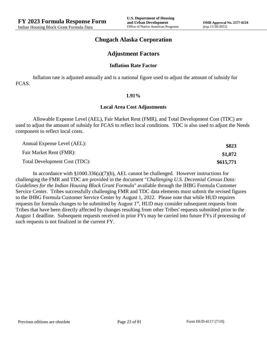## **Chugach Alaska Corporation**

## **Adjustment Factors**

#### **Inflation Rate Factor**

Inflation rate is adjusted annually and is a national figure used to adjust the amount of subsidy for FCAS.

#### **1.91%**

#### **Local Area Cost Adjustments**

Allowable Expense Level (AEL), Fair Market Rent (FMR), and Total Development Cost (TDC) are used to adjust the amount of subsidy for FCAS to reflect local conditions. TDC is also used to adjust the Needs component to reflect local costs.

| Annual Expense Level (AEL):   | \$823     |
|-------------------------------|-----------|
| Fair Market Rent (FMR):       | \$1,072   |
| Total Development Cost (TDC): | \$615,771 |

In accordance with §1000.336(a)(7)(b), AEL cannot be challenged. However instructions for challenging the FMR and TDC are provided in the document "*Challenging U.S. Decennial Census Data: Guidelines for the Indian Housing Block Grant Formula*" available through the IHBG Formula Customer Service Center. Tribes successfully challenging FMR and TDC data elements must submit the revised figures to the IHBG Formula Customer Service Center by August 1, 2022. Please note that while HUD requires requests for formula changes to be submitted by August 1<sup>st</sup>, HUD may consider subsequent requests from Tribes that have been directly affected by changes resulting from other Tribes' requests submitted prior to the August 1 deadline. Subsequent requests received in prior FYs may be carried into future FYs if processing of such requests is not finalized in the current FY.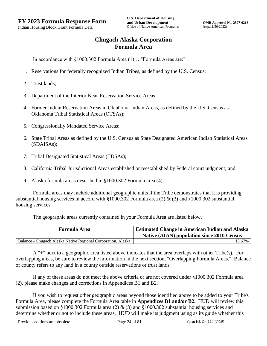# **Chugach Alaska Corporation Formula Area**

In accordance with §1000.302 Formula Area (1)…."Formula Areas are:"

- 1. Reservations for federally recognized Indian Tribes, as defined by the U.S. Census;
- 2. Trust lands;
- 3. Department of the Interior Near-Reservation Service Areas;
- 4. Former Indian Reservation Areas in Oklahoma Indian Areas, as defined by the U.S. Census as Oklahoma Tribal Statistical Areas (OTSAs);
- 5. Congressionally Mandated Service Areas;
- 6. State Tribal Areas as defined by the U.S. Census as State Designated American Indian Statistical Areas (SDAISAs);
- 7. Tribal Designated Statistical Areas (TDSAs);
- 8. California Tribal Jurisdictional Areas established or reestablished by Federal court judgment; and
- 9. Alaska formula areas described in §1000.302 Formula area (4).

Formula areas may include additional geographic units if the Tribe demonstrates that it is providing substantial housing services in accord with §1000.302 Formula area (2) & (3) and §1000.302 substantial housing services.

The geographic areas currently contained in your Formula Area are listed below.

| <b>Formula Area</b>                                          | <b>Estimated Change in American Indian and Alaska</b><br><b>Native (AIAN) population since 2010 Census</b> |
|--------------------------------------------------------------|------------------------------------------------------------------------------------------------------------|
| Balance - Chugach Alaska Native Regional Corporation, Alaska | 13.67%                                                                                                     |

A "+" next to a geographic area listed above indicates that the area overlaps with other Tribe(s). For overlapping areas, be sure to review the information in the next section, "Overlapping Formula Areas." Balance of county refers to any land in a county outside reservations or trust lands.

If any of these areas do not meet the above criteria or are not covered under §1000.302 Formula area (2), please make changes and corrections in Appendices B1 and B2.

If you wish to request other geographic areas beyond those identified above to be added to your Tribe's Formula Area, please complete the Formula Area table in **Appendices B1 and/or B2.** HUD will review this submission based on §1000.302 Formula area (2) & (3) and §1000.302 substantial housing services and determine whether or not to include these areas. HUD will make its judgment using as its guide whether this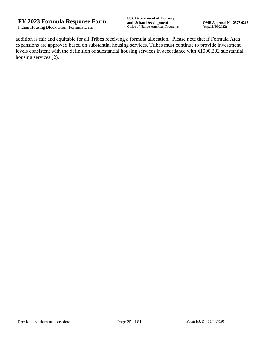addition is fair and equitable for all Tribes receiving a formula allocation. Please note that if Formula Area expansions are approved based on substantial housing services, Tribes must continue to provide investment levels consistent with the definition of substantial housing services in accordance with §1000.302 substantial housing services (2).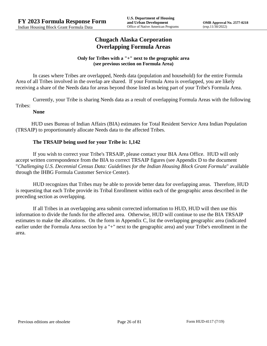# **Chugach Alaska Corporation Overlapping Formula Areas**

## **Only for Tribes with a "+" next to the geographic area (see previous section on Formula Area)**

In cases where Tribes are overlapped, Needs data (population and household) for the entire Formula Area of all Tribes involved in the overlap are shared. If your Formula Area is overlapped, you are likely receiving a share of the Needs data for areas beyond those listed as being part of your Tribe's Formula Area.

Currently, your Tribe is sharing Needs data as a result of overlapping Formula Areas with the following Tribes:

## **None**

HUD uses Bureau of Indian Affairs (BIA) estimates for Total Resident Service Area Indian Population (TRSAIP) to proportionately allocate Needs data to the affected Tribes.

## **The TRSAIP being used for your Tribe is: 1,142**

If you wish to correct your Tribe's TRSAIP, please contact your BIA Area Office. HUD will only accept written correspondence from the BIA to correct TRSAIP figures (see Appendix D to the document "*Challenging U.S. Decennial Census Data: Guidelines for the Indian Housing Block Grant Formula*" available through the IHBG Formula Customer Service Center).

HUD recognizes that Tribes may be able to provide better data for overlapping areas. Therefore, HUD is requesting that each Tribe provide its Tribal Enrollment within each of the geographic areas described in the preceding section as overlapping.

If all Tribes in an overlapping area submit corrected information to HUD, HUD will then use this information to divide the funds for the affected area. Otherwise, HUD will continue to use the BIA TRSAIP estimates to make the allocations. On the form in Appendix C, list the overlapping geographic area (indicated earlier under the Formula Area section by a "+" next to the geographic area) and your Tribe's enrollment in the area.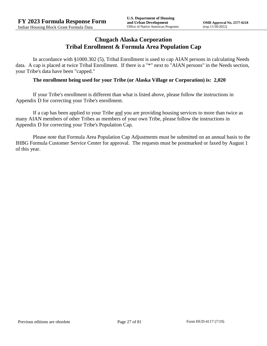## **Chugach Alaska Corporation Tribal Enrollment & Formula Area Population Cap**

In accordance with §1000.302 (5), Tribal Enrollment is used to cap AIAN persons in calculating Needs data. A cap is placed at twice Tribal Enrollment. If there is a "\*" next to "AIAN persons" in the Needs section, your Tribe's data have been "capped."

## **The enrollment being used for your Tribe (or Alaska Village or Corporation) is: 2,020**

If your Tribe's enrollment is different than what is listed above, please follow the instructions in Appendix D for correcting your Tribe's enrollment.

If a cap has been applied to your Tribe and you are providing housing services to more than twice as many AIAN members of other Tribes as members of your own Tribe, please follow the instructions in Appendix D for correcting your Tribe's Population Cap.

Please note that Formula Area Population Cap Adjustments must be submitted on an annual basis to the IHBG Formula Customer Service Center for approval. The requests must be postmarked or faxed by August 1 of this year.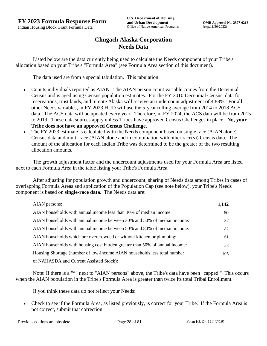# **Chugach Alaska Corporation Needs Data**

Listed below are the data currently being used to calculate the Needs component of your Tribe's allocation based on your Tribe's "Formula Area" (see Formula Area section of this document).

The data used are from a special tabulation. This tabulation:

- Counts individuals reported as AIAN. The AIAN person count variable comes from the Decennial Census and is aged using Census population estimates. For the FY 2010 Decennial Census, data for reservations, trust lands, and remote Alaska will receive an undercount adjustment of 4.88%. For all other Needs variables, in FY 2023 HUD will use the 5-year rolling average from 2014 to 2018 ACS data. The ACS data will be updated every year. Therefore, in FY 2024, the ACS data will be from 2015 to 2019. These data sources apply unless Tribes have approved Census Challenges in place. **No, your Tribe does not have an approved Census Challenge.**
- The FY 2023 estimate is calculated with the Needs component based on single race (AIAN alone) Census data and multi-race (AIAN alone and in combination with other race(s)) Census data. The amount of the allocation for each Indian Tribe was determined to be the greater of the two resulting allocation amounts.

The growth adjustment factor and the undercount adjustments used for your Formula Area are listed next to each Formula Area in the table listing your Tribe's Formula Area.

After adjusting for population growth and undercount, sharing of Needs data among Tribes in cases of overlapping Formula Areas and application of the Population Cap (see note below), your Tribe's Needs component is based on **single-race data**. The Needs data are:

| AIAN persons:                                                               | 1,142 |
|-----------------------------------------------------------------------------|-------|
| AIAN households with annual income less than 30% of median income:          | 60    |
| AIAN households with annual income between 30% and 50% of median income:    | 37    |
| AIAN households with annual income between 50% and 80% of median income:    | 82    |
| AIAN households which are overcrowded or without kitchen or plumbing:       | 61    |
| AIAN households with housing cost burden greater than 50% of annual income: | 58    |
| Housing Shortage (number of low-income AIAN households less total number    | 105   |
| of NAHASDA and Current Assisted Stock):                                     |       |

Note: If there is a "\*" next to "AIAN persons" above, the Tribe's data have been "capped." This occurs when the AIAN population in the Tribe's Formula Area is greater than twice its total Tribal Enrollment.

If you think these data do not reflect your Needs:

 Check to see if the Formula Area, as listed previously, is correct for your Tribe. If the Formula Area is not correct, submit that correction.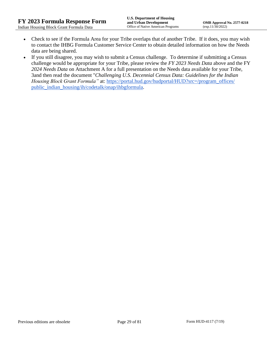- Check to see if the Formula Area for your Tribe overlaps that of another Tribe. If it does, you may wish to contact the IHBG Formula Customer Service Center to obtain detailed information on how the Needs data are being shared.
- If you still disagree, you may wish to submit a Census challenge. To determine if submitting a Census challenge would be appropriate for your Tribe, please review the *FY 2023 Needs Data* above and the FY *2024 Needs Data* on Attachment A for a full presentation on the Needs data available for your Tribe, 3and then read the document "*Challenging U.S. Decennial Census Data: Guidelines for the Indian Housing Block Grant Formula*" at: https://portal.hud.gov/hudportal/HUD?src=/program\_offices/ [public\\_indian\\_housing/ih/codetalk/onap/ihbgformula.](https://portal.hud.gov/hudportal/HUD?src=/program_offices/public_indian_housing/ih/codetalk/onap/ihbgformula)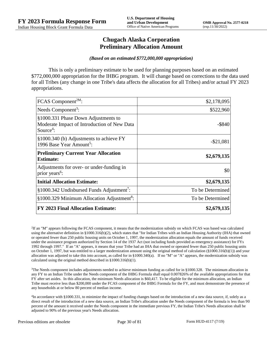## **Chugach Alaska Corporation Preliminary Allocation Amount**

#### *(Based on an estimated \$772,000,000 appropriation)*

This is only a preliminary estimate to be used for planning purposes based on an estimated \$772,000,000 appropriation for the IHBG program. It will change based on corrections to the data used for all Tribes (any change in one Tribe's data affects the allocation for all Tribes) and/or actual FY 2023 appropriations.

| FCAS Component <sup>2M</sup> :                                                                              | \$2,178,095      |
|-------------------------------------------------------------------------------------------------------------|------------------|
| Needs Component <sup>3</sup> :                                                                              | \$522,960        |
| §1000.331 Phase Down Adjustments to<br>Moderate Impact of Introduction of New Data<br>Source <sup>4</sup> : | $-$ \$840        |
| §1000.340 (b) Adjustments to achieve FY<br>1996 Base Year Amount <sup>5</sup> :                             | $-$ \$21,081     |
| <b>Preliminary Current Year Allocation</b><br><b>Estimate:</b>                                              | \$2,679,135      |
| Adjustments for over- or under-funding in<br>prior years <sup>6</sup> :                                     | \$0              |
| <b>Initial Allocation Estimate:</b>                                                                         | \$2,679,135      |
| $§1000.342$ Undisbursed Funds Adjustment <sup>7</sup> :                                                     | To be Determined |
| §1000.329 Minimum Allocation Adjustment <sup>8</sup> :                                                      | To be Determined |
| <b>FY 2023 Final Allocation Estimate:</b>                                                                   | \$2,679,135      |

2 If an "M" appears following the FCAS component, it means that the modernization subsidy on which FCAS was based was calculated using the alternative definition in §1000.316(b)(2), which states that "for Indian Tribes with an Indian Housing Authority (IHA) that owned or operated fewer than 250 public housing units on October 1, 1997, the modernization allocation equals the amount of funds received under the assistance program authorized by Section 14 of the 1937 Act (not including funds provided as emergency assistance) for FYs 1992 through 1997." If an "A" appears, it means that your Tribe had an IHA that owned or operated fewer than 250 public housing units on October 1, 1997, but was entitled to a larger modernization amount using the original method of calculation  $(\frac{81000.316(b)(1)}{2000.316(b)(1)})$  and your allocation was adjusted to take this into account, as called for in  $\S1000.340(a)$ . If no "M" or "A" appears, the modernization subsidy was calculated using the original method described in §1000.316(b)(1).

 $3$ The Needs component includes adjustments needed to achieve minimum funding as called for in §1000.328. The minimum allocation in any FY to an Indian Tribe under the Needs component of the IHBG Formula shall equal 0.007826% of the available appropriations for that FY after set asides. In this allocation, the minimum Needs allocation is \$60,417. To be eligible for the minimum allocation, an Indian Tribe must receive less than \$200,000 under the FCAS component of the IHBG Formula for the FY, and must demonstrate the presence of any households at or below 80 percent of median income.

4 In accordance with §1000.331, to minimize the impact of funding changes based on the introduction of a new data source, if, solely as a direct result of the introduction of a new data source, an Indian Tribe's allocation under the Needs component of the formula is less than 90 percent of the amount it received under the Needs component in the immediate previous FY, the Indian Tribe's Needs allocation shall be adjusted to 90% of the previous year's Needs allocation.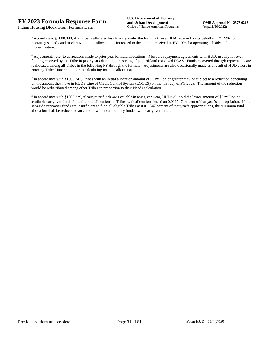<sup>5</sup> According to §1000.340, if a Tribe is allocated less funding under the formula than an IHA received on its behalf in FY 1996 for operating subsidy and modernization, its allocation is increased to the amount received in FY 1996 for operating subsidy and modernization.

<sup>6</sup> Adjustments refer to corrections made to prior year formula allocations. Most are repayment agreements with HUD, usually for overfunding received by the Tribe in prior years due to late reporting of paid-off and conveyed FCAS. Funds recovered through repayments are reallocated among all Tribes in the following FY through the formula. Adjustments are also occasionally made as a result of HUD errors in entering Tribes' information or in calculating formula allocations.

 $^7$  In accordance with §1000.342, Tribes with an initial allocation amount of \$5 million or greater may be subject to a reduction depending on the amount they have in HUD's Line of Credit Control System (LOCCS) on the first day of FY 2023. The amount of the reduction would be redistributed among other Tribes in proportion to their Needs calculation.

<sup>8</sup> In accordance with §1000.329, if carryover funds are available in any given year, HUD will hold the lesser amount of \$3 million or available carryover funds for additional allocations to Tribes with allocations less than 0.011547 percent of that year's appropriation. If the set-aside carryover funds are insufficient to fund all eligible Tribes at 0.011547 percent of that year's appropriations, the minimum total allocation shall be reduced to an amount which can be fully funded with carryover funds.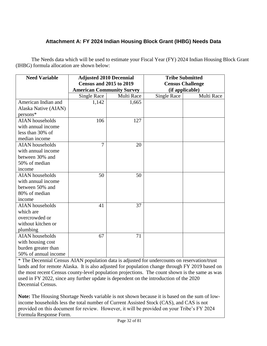# **Attachment A: FY 2024 Indian Housing Block Grant (IHBG) Needs Data**

The Needs data which will be used to estimate your Fiscal Year (FY) 2024 Indian Housing Block Grant (IHBG) formula allocation are shown below:

| <b>Need Variable</b>   | <b>Adjusted 2010 Decennial</b>   |            | <b>Tribe Submitted</b>  |            |
|------------------------|----------------------------------|------------|-------------------------|------------|
|                        | <b>Census and 2015 to 2019</b>   |            | <b>Census Challenge</b> |            |
|                        | <b>American Community Survey</b> |            | (if applicable)         |            |
|                        | <b>Single Race</b>               | Multi Race | <b>Single Race</b>      | Multi Race |
| American Indian and    | 1,142                            | 1,665      |                         |            |
| Alaska Native (AIAN)   |                                  |            |                         |            |
| persons*               |                                  |            |                         |            |
| <b>AIAN</b> households | 106                              | 127        |                         |            |
| with annual income     |                                  |            |                         |            |
| less than 30% of       |                                  |            |                         |            |
| median income          |                                  |            |                         |            |
| <b>AIAN</b> households | $\overline{7}$                   | 20         |                         |            |
| with annual income     |                                  |            |                         |            |
| between 30% and        |                                  |            |                         |            |
| 50% of median          |                                  |            |                         |            |
| income                 |                                  |            |                         |            |
| <b>AIAN</b> households | 50                               | 50         |                         |            |
| with annual income     |                                  |            |                         |            |
| between 50% and        |                                  |            |                         |            |
| 80% of median          |                                  |            |                         |            |
| income                 |                                  |            |                         |            |
| <b>AIAN</b> households | 41                               | 37         |                         |            |
| which are              |                                  |            |                         |            |
| overcrowded or         |                                  |            |                         |            |
| without kitchen or     |                                  |            |                         |            |
| plumbing               |                                  |            |                         |            |
| <b>AIAN</b> households | 67                               | 71         |                         |            |
| with housing cost      |                                  |            |                         |            |
| burden greater than    |                                  |            |                         |            |
| 50% of annual income   |                                  |            |                         |            |

\* The Decennial Census AIAN population data is adjusted for undercounts on reservation/trust lands and for remote Alaska. It is also adjusted for population change through FY 2019 based on the most recent Census county-level population projections. The count shown is the same as was used in FY 2022, since any further update is dependent on the introduction of the 2020 Decennial Census.

**Note:** The Housing Shortage Needs variable is not shown because it is based on the sum of lowincome households less the total number of Current Assisted Stock (CAS), and CAS is not provided on this document for review. However, it will be provided on your Tribe's FY 2024 Formula Response Form.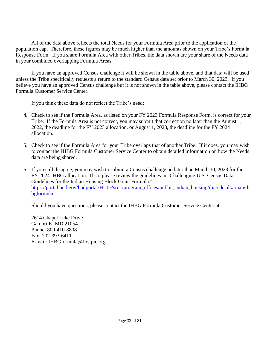All of the data above reflects the total Needs for your Formula Area prior to the application of the population cap. Therefore, these figures may be much higher than the amounts shown on your Tribe's Formula Response Form. If you share Formula Area with other Tribes, the data shown are your share of the Needs data in your combined overlapping Formula Areas.

If you have an approved Census challenge it will be shown in the table above, and that data will be used unless the Tribe specifically requests a return to the standard Census data set prior to March 30, 2023. If you believe you have an approved Census challenge but it is not shown in the table above, please contact the IHBG Formula Customer Service Center.

If you think these data do not reflect the Tribe's need:

- 4. Check to see if the Formula Area, as listed on your FY 2023 Formula Response Form, is correct for your Tribe. If the Formula Area is not correct, you may submit that correction no later than the August 1, 2022, the deadline for the FY 2023 allocation, or August 1, 2023, the deadline for the FY 2024 allocation.
- 5. Check to see if the Formula Area for your Tribe overlaps that of another Tribe. If it does, you may wish to contact the IHBG Formula Customer Service Center to obtain detailed information on how the Needs data are being shared.
- 6. If you still disagree, you may wish to submit a Census challenge no later than March 30, 2023 for the FY 2024 IHBG allocation. If so, please review the guidelines in "Challenging U.S. Census Data: Guidelines for the Indian Housing Block Grant Formula." [https://portal.hud.gov/hudportal/HUD?src=/program\\_offices/public\\_indian\\_housing/ih/codetalk/onap/ih](https://portal.hud.gov/hudportal/HUD?src=/program_offices/public_indian_housing/ih/codetalk/onap/ihbgformula) [bgformula.](https://portal.hud.gov/hudportal/HUD?src=/program_offices/public_indian_housing/ih/codetalk/onap/ihbgformula)

Should you have questions, please contact the IHBG Formula Customer Service Center at:

2614 Chapel Lake Drive Gambrills, MD 21054 Phone: 800-410-8808 Fax: 202-393-6411 E-mail: IHBGformula@firstpic.org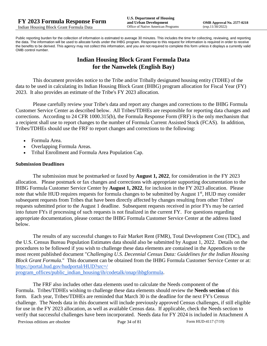Public reporting burden for the collection of information is estimated to average 30 minutes. This includes the time for collecting, reviewing, and reporting the data. The information will be used to allocate funds under the IHBG program. Response to this request for information is required in order to receive the benefits to be derived. This agency may not collect this information, and you are not required to complete this form unless it displays a currently valid OMB control number.

# **Indian Housing Block Grant Formula Data for the Nanwelek (English Bay)**

This document provides notice to the Tribe and/or Tribally designated housing entity (TDHE) of the data to be used in calculating its Indian Housing Block Grant (IHBG) program allocation for Fiscal Year (FY) 2023. It also provides an estimate of the Tribe's FY 2023 allocation.

Please carefully review your Tribe's data and report any changes and corrections to the IHBG Formula Customer Service Center as described below. All Tribes/TDHEs are responsible for reporting data changes and corrections. According to 24 CFR 1000.315(b), the Formula Response Form (FRF) is the only mechanism that a recipient shall use to report changes to the number of Formula Current Assisted Stock (FCAS). In addition, Tribes/TDHEs should use the FRF to report changes and corrections to the following:

- Formula Area.
- Overlapping Formula Areas.
- Tribal Enrollment and Formula Area Population Cap.

## **Submission Deadlines**

The submission must be postmarked or faxed by **August 1, 2022**, for consideration in the FY 2023 allocation. Please postmark or fax changes and corrections with appropriate supporting documentation to the IHBG Formula Customer Service Center by **August 1, 2022**, for inclusion in the FY 2023 allocation. Please note that while HUD requires requests for formula changes to be submitted by August 1<sup>st</sup>, HUD may consider subsequent requests from Tribes that have been directly affected by changes resulting from other Tribes' requests submitted prior to the August 1 deadline. Subsequent requests received in prior FYs may be carried into future FYs if processing of such requests is not finalized in the current FY. For questions regarding appropriate documentation, please contact the IHBG Formula Customer Service Center at the address listed below.

The results of any successful changes to Fair Market Rent (FMR), Total Development Cost (TDC), and the U.S. Census Bureau Population Estimates data should also be submitted by August 1, 2022. Details on the procedures to be followed if you wish to challenge these data elements are contained in the Appendices to the most recent published document "*Challenging U.S. Decennial Census Data: Guidelines for the Indian Housing Block Grant Formula.*" This document can be obtained from the IHBG Formula Customer Service Center or at: [https://portal.hud.gov/hudportal/HUD?src=/](https://portal.hud.gov/hudportal/HUD?src=/program_offices/public_indian_housing/ih/codetalk/onap/ihbgformula) 

[program\\_offices/public\\_indian\\_housing/ih/codetalk/onap/ihbgformula.](https://portal.hud.gov/hudportal/HUD?src=/program_offices/public_indian_housing/ih/codetalk/onap/ihbgformula)

The FRF also includes other data elements used to calculate the Needs component of the Formula. Tribes/TDHEs wishing to challenge these data elements should review the **Needs section** of this form. Each year, Tribes/TDHEs are reminded that March 30 is the deadline for the next FY's Census challenge. The Needs data in this document will include previously approved Census challenges, if still eligible for use in the FY 2023 allocation, as well as available Census data. If applicable, check the Needs section to verify that successful challenges have been incorporated. Needs data for FY 2024 is included in Attachment A

Previous editions are obsolete Page 34 of 81 Form HUD-4117 (7/19)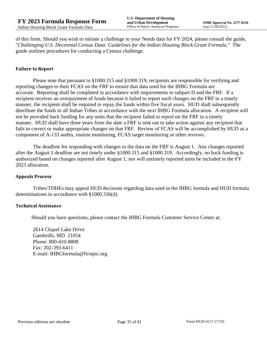of this form. Should you wish to initiate a challenge to your Needs data for FY 2024, please consult the guide, "*Challenging U.S. Decennial Census Data: Guidelines for the Indian Housing Block Grant Formula.*" The guide outlines procedures for conducting a Census challenge.

## **Failure to Report**

Please note that pursuant to §1000.315 and §1000.319, recipients are responsible for verifying and reporting changes to their FCAS on the FRF to ensure that data used for the IHBG Formula are accurate. Reporting shall be completed in accordance with requirements in subpart D and the FRF. If a recipient receives an overpayment of funds because it failed to report such changes on the FRF in a timely manner, the recipient shall be required to repay the funds within five fiscal years. HUD shall subsequently distribute the funds to all Indian Tribes in accordance with the next IHBG Formula allocation. A recipient will not be provided back funding for any units that the recipient failed to report on the FRF in a timely manner. HUD shall have three years from the date a FRF is sent out to take action against any recipient that fails to correct or make appropriate changes on that FRF. Review of FCAS will be accomplished by HUD as a component of A-133 audits, routine monitoring, FCAS target monitoring or other reviews.

The deadline for responding with changes to the data on the FRF is August 1. Any changes reported after the August 1 deadline are not timely under §1000.315 and §1000.319. Accordingly, no back funding is authorized based on changes reported after August 1; nor will untimely reported units be included in the FY 2023 allocation.

#### **Appeals Process**

Tribes/TDHEs may appeal HUD decisions regarding data used in the IHBG formula and HUD formula determinations in accordance with §1000.336(d).

#### **Technical Assistance**

Should you have questions, please contact the IHBG Formula Customer Service Center at:

2614 Chapel Lake Drive Gambrills, MD 21054 Phone: 800-410-8808 Fax: 202-393-6411 E-mail: IHBGformula@firstpic.org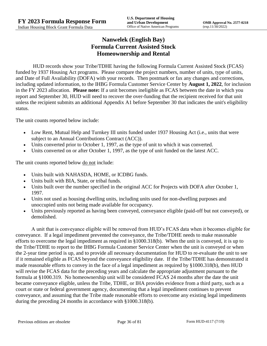# **Nanwelek (English Bay) Formula Current Assisted Stock Homeownership and Rental**

HUD records show your Tribe/TDHE having the following Formula Current Assisted Stock (FCAS) funded by 1937 Housing Act programs. Please compare the project numbers, number of units, type of units, and Date of Full Availability (DOFA) with your records. Then postmark or fax any changes and corrections, including updated information, to the IHBG Formula Customer Service Center by **August 1, 2022**, for inclusion in the FY 2023 allocation. **Please note:** If a unit becomes ineligible as FCAS between the date in which you report and September 30, HUD will need to recover the over-funding that the recipient received for that unit unless the recipient submits an additional Appendix A1 before September 30 that indicates the unit's eligibility status.

The unit counts reported below include:

- Low Rent, Mutual Help and Turnkey III units funded under 1937 Housing Act (i.e., units that were subject to an Annual Contributions Contract (ACC)).
- Units converted prior to October 1, 1997, as the type of unit to which it was converted.
- Units converted on or after October 1, 1997, as the type of unit funded on the latest ACC.

The unit counts reported below <u>do not</u> include:

- Units built with NAHASDA, HOME, or ICDBG funds.
- Units built with BIA, State, or tribal funds.
- Units built over the number specified in the original ACC for Projects with DOFA after October 1, 1997.
- Units not used as housing dwelling units, including units used for non-dwelling purposes and unoccupied units not being made available for occupancy.
- Units previously reported as having been conveyed, conveyance eligible (paid-off but not conveyed), or demolished.

A unit that is conveyance eligible will be removed from HUD's FCAS data when it becomes eligible for conveyance. If a legal impediment prevented the conveyance, the Tribe/TDHE needs to make reasonable efforts to overcome the legal impediment as required in §1000.318(b). When the unit is conveyed, it is up to the Tribe/TDHE to report to the IHBG Formula Customer Service Center when the unit is conveyed or when the 2-year time period is up, and to provide all necessary documentation for HUD to re-evaluate the unit to see if it remained eligible as FCAS beyond the conveyance eligibility date. If the Tribe/TDHE has demonstrated it made reasonable efforts to convey in the face of a legal impediment as required by §1000.318(b), then HUD will revise the FCAS data for the preceding years and calculate the appropriate adjustment pursuant to the formula at §1000.319. No homeownership unit will be considered FCAS 24 months after the date the unit became conveyance eligible, unless the Tribe, TDHE, or IHA provides evidence from a third party, such as a court or state or federal government agency, documenting that a legal impediment continues to prevent conveyance, and assuming that the Tribe made reasonable efforts to overcome any existing legal impediments during the preceding 24 months in accordance with §1000.318(b).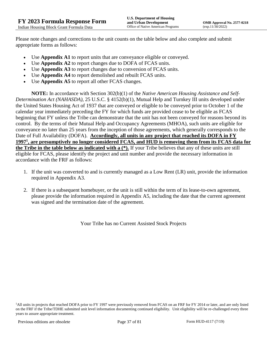Please note changes and corrections to the unit counts on the table below and also complete and submit appropriate forms as follows:

- Use **Appendix A1** to report units that are conveyance eligible or conveyed.
- Use **Appendix A2** to report changes due to DOFA of FCAS units.
- Use **Appendix A3** to report changes due to conversion of FCAS units.
- Use **Appendix A4** to report demolished and rebuilt FCAS units.
- Use **Appendix A5** to report all other FCAS changes.

**NOTE:** In accordance with Section 302(b)(1) of the *Native American Housing Assistance and Self-Determination Act (NAHASDA)*, 25 U.S.C. § 4152(b)(1), Mutual Help and Turnkey III units developed under the United States Housing Act of 1937 that are conveyed or eligible to be conveyed prior to October 1 of the calendar year immediately preceding the FY for which funds are provided cease to be eligible as FCAS beginning that FY unless the Tribe can demonstrate that the unit has not been conveyed for reasons beyond its control. By the terms of their Mutual Help and Occupancy Agreements (MHOA), such units are eligible for conveyance no later than 25 years from the inception of those agreements, which generally corresponds to the Date of Full Availability (DOFA). **Accordingly, all units in any project that reached its DOFA in FY 1997<sup>1</sup> , are presumptively no longer considered FCAS, and HUD is removing them from its FCAS data for the Tribe in the table below as indicated with a (\*).** If your Tribe believes that any of these units are still eligible for FCAS, please identify the project and unit number and provide the necessary information in accordance with the FRF as follows:

- 1. If the unit was converted to and is currently managed as a Low Rent (LR) unit, provide the information required in Appendix A3.
- 2. If there is a subsequent homebuyer, or the unit is still within the term of its lease-to-own agreement, please provide the information required in Appendix A5, including the date that the current agreement was signed and the termination date of the agreement.

Your Tribe has no Current Assisted Stock Projects

<sup>&</sup>lt;sup>1</sup>All units in projects that reached DOFA prior to FY 1997 were previously removed from FCAS on an FRF for FY 2014 or later, and are only listed on the FRF if the Tribe/TDHE submitted unit level information documenting continued eligibility. Unit eligibility will be re-challenged every three years to assure appropriate treatment.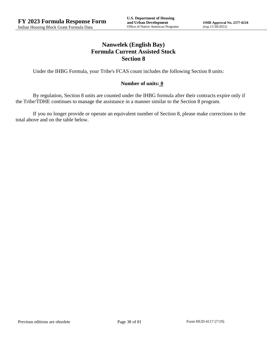# **Nanwelek (English Bay) Formula Current Assisted Stock Section 8**

Under the IHBG Formula, your Tribe's FCAS count includes the following Section 8 units:

### **Number of units: 0**

By regulation, Section 8 units are counted under the IHBG formula after their contracts expire only if the Tribe/TDHE continues to manage the assistance in a manner similar to the Section 8 program.

If you no longer provide or operate an equivalent number of Section 8, please make corrections to the total above and on the table below.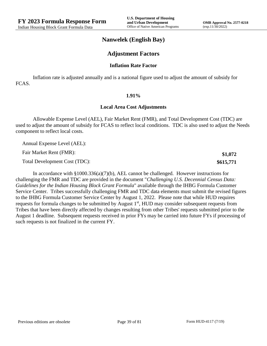**\$1,072 \$615,771**

## **Nanwelek (English Bay)**

## **Adjustment Factors**

#### **Inflation Rate Factor**

Inflation rate is adjusted annually and is a national figure used to adjust the amount of subsidy for FCAS.

#### **1.91%**

#### **Local Area Cost Adjustments**

Allowable Expense Level (AEL), Fair Market Rent (FMR), and Total Development Cost (TDC) are used to adjust the amount of subsidy for FCAS to reflect local conditions. TDC is also used to adjust the Needs component to reflect local costs.

Annual Expense Level (AEL):

Fair Market Rent (FMR):

Total Development Cost (TDC):

In accordance with §1000.336(a)(7)(b), AEL cannot be challenged. However instructions for challenging the FMR and TDC are provided in the document "*Challenging U.S. Decennial Census Data: Guidelines for the Indian Housing Block Grant Formula*" available through the IHBG Formula Customer Service Center. Tribes successfully challenging FMR and TDC data elements must submit the revised figures to the IHBG Formula Customer Service Center by August 1, 2022. Please note that while HUD requires requests for formula changes to be submitted by August 1<sup>st</sup>, HUD may consider subsequent requests from Tribes that have been directly affected by changes resulting from other Tribes' requests submitted prior to the August 1 deadline. Subsequent requests received in prior FYs may be carried into future FYs if processing of such requests is not finalized in the current FY.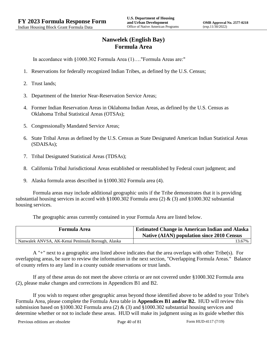# **Nanwelek (English Bay) Formula Area**

In accordance with §1000.302 Formula Area (1)…."Formula Areas are:"

- 1. Reservations for federally recognized Indian Tribes, as defined by the U.S. Census;
- 2. Trust lands;
- 3. Department of the Interior Near-Reservation Service Areas;
- 4. Former Indian Reservation Areas in Oklahoma Indian Areas, as defined by the U.S. Census as Oklahoma Tribal Statistical Areas (OTSAs);
- 5. Congressionally Mandated Service Areas;
- 6. State Tribal Areas as defined by the U.S. Census as State Designated American Indian Statistical Areas (SDAISAs);
- 7. Tribal Designated Statistical Areas (TDSAs);
- 8. California Tribal Jurisdictional Areas established or reestablished by Federal court judgment; and
- 9. Alaska formula areas described in §1000.302 Formula area (4).

Formula areas may include additional geographic units if the Tribe demonstrates that it is providing substantial housing services in accord with §1000.302 Formula area (2) & (3) and §1000.302 substantial housing services.

The geographic areas currently contained in your Formula Area are listed below.

| <b>Formula Area</b>                                | <b>Estimated Change in American Indian and Alaska</b><br><b>Native (AIAN) population since 2010 Census</b> |
|----------------------------------------------------|------------------------------------------------------------------------------------------------------------|
| Nanwalek ANVSA, AK-Kenai Peninsula Borough, Alaska | 13.67%                                                                                                     |

A "+" next to a geographic area listed above indicates that the area overlaps with other Tribe(s). For overlapping areas, be sure to review the information in the next section, "Overlapping Formula Areas." Balance of county refers to any land in a county outside reservations or trust lands.

If any of these areas do not meet the above criteria or are not covered under §1000.302 Formula area (2), please make changes and corrections in Appendices B1 and B2.

If you wish to request other geographic areas beyond those identified above to be added to your Tribe's Formula Area, please complete the Formula Area table in **Appendices B1 and/or B2.** HUD will review this submission based on §1000.302 Formula area (2) & (3) and §1000.302 substantial housing services and determine whether or not to include these areas. HUD will make its judgment using as its guide whether this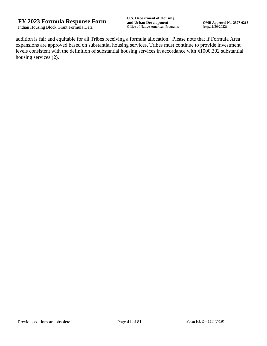addition is fair and equitable for all Tribes receiving a formula allocation. Please note that if Formula Area expansions are approved based on substantial housing services, Tribes must continue to provide investment levels consistent with the definition of substantial housing services in accordance with §1000.302 substantial housing services (2).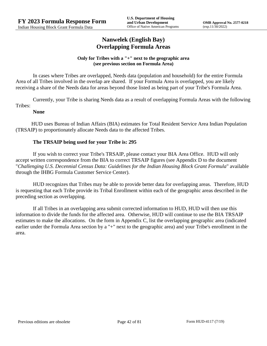## **Nanwelek (English Bay) Overlapping Formula Areas**

### **Only for Tribes with a "+" next to the geographic area (see previous section on Formula Area)**

In cases where Tribes are overlapped, Needs data (population and household) for the entire Formula Area of all Tribes involved in the overlap are shared. If your Formula Area is overlapped, you are likely receiving a share of the Needs data for areas beyond those listed as being part of your Tribe's Formula Area.

Currently, your Tribe is sharing Needs data as a result of overlapping Formula Areas with the following Tribes:

### **None**

HUD uses Bureau of Indian Affairs (BIA) estimates for Total Resident Service Area Indian Population (TRSAIP) to proportionately allocate Needs data to the affected Tribes.

## **The TRSAIP being used for your Tribe is: 295**

If you wish to correct your Tribe's TRSAIP, please contact your BIA Area Office. HUD will only accept written correspondence from the BIA to correct TRSAIP figures (see Appendix D to the document "*Challenging U.S. Decennial Census Data: Guidelines for the Indian Housing Block Grant Formula*" available through the IHBG Formula Customer Service Center).

HUD recognizes that Tribes may be able to provide better data for overlapping areas. Therefore, HUD is requesting that each Tribe provide its Tribal Enrollment within each of the geographic areas described in the preceding section as overlapping.

If all Tribes in an overlapping area submit corrected information to HUD, HUD will then use this information to divide the funds for the affected area. Otherwise, HUD will continue to use the BIA TRSAIP estimates to make the allocations. On the form in Appendix C, list the overlapping geographic area (indicated earlier under the Formula Area section by a "+" next to the geographic area) and your Tribe's enrollment in the area.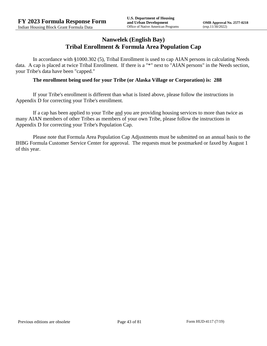## **Nanwelek (English Bay) Tribal Enrollment & Formula Area Population Cap**

In accordance with §1000.302 (5), Tribal Enrollment is used to cap AIAN persons in calculating Needs data. A cap is placed at twice Tribal Enrollment. If there is a "\*" next to "AIAN persons" in the Needs section, your Tribe's data have been "capped."

### **The enrollment being used for your Tribe (or Alaska Village or Corporation) is: 288**

If your Tribe's enrollment is different than what is listed above, please follow the instructions in Appendix D for correcting your Tribe's enrollment.

If a cap has been applied to your Tribe and you are providing housing services to more than twice as many AIAN members of other Tribes as members of your own Tribe, please follow the instructions in Appendix D for correcting your Tribe's Population Cap.

Please note that Formula Area Population Cap Adjustments must be submitted on an annual basis to the IHBG Formula Customer Service Center for approval. The requests must be postmarked or faxed by August 1 of this year.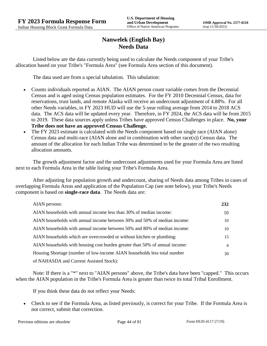# **Nanwelek (English Bay) Needs Data**

Listed below are the data currently being used to calculate the Needs component of your Tribe's allocation based on your Tribe's "Formula Area" (see Formula Area section of this document).

The data used are from a special tabulation. This tabulation:

- Counts individuals reported as AIAN. The AIAN person count variable comes from the Decennial Census and is aged using Census population estimates. For the FY 2010 Decennial Census, data for reservations, trust lands, and remote Alaska will receive an undercount adjustment of 4.88%. For all other Needs variables, in FY 2023 HUD will use the 5-year rolling average from 2014 to 2018 ACS data. The ACS data will be updated every year. Therefore, in FY 2024, the ACS data will be from 2015 to 2019. These data sources apply unless Tribes have approved Census Challenges in place. **No, your Tribe does not have an approved Census Challenge.**
- The FY 2023 estimate is calculated with the Needs component based on single race (AIAN alone) Census data and multi-race (AIAN alone and in combination with other race(s)) Census data. The amount of the allocation for each Indian Tribe was determined to be the greater of the two resulting allocation amounts.

The growth adjustment factor and the undercount adjustments used for your Formula Area are listed next to each Formula Area in the table listing your Tribe's Formula Area.

After adjusting for population growth and undercount, sharing of Needs data among Tribes in cases of overlapping Formula Areas and application of the Population Cap (see note below), your Tribe's Needs component is based on **single-race data**. The Needs data are:

| AIAN persons:                                                               | 232 |
|-----------------------------------------------------------------------------|-----|
| AIAN households with annual income less than 30% of median income:          | 10  |
| AIAN households with annual income between 30% and 50% of median income:    | 10  |
| AIAN households with annual income between 50% and 80% of median income:    | 10  |
| AIAN households which are overcrowded or without kitchen or plumbing:       | 15  |
| AIAN households with housing cost burden greater than 50% of annual income: | 4   |
| Housing Shortage (number of low-income AIAN households less total number    | 30  |
| of NAHASDA and Current Assisted Stock):                                     |     |

Note: If there is a "\*" next to "AIAN persons" above, the Tribe's data have been "capped." This occurs when the AIAN population in the Tribe's Formula Area is greater than twice its total Tribal Enrollment.

If you think these data do not reflect your Needs:

 Check to see if the Formula Area, as listed previously, is correct for your Tribe. If the Formula Area is not correct, submit that correction.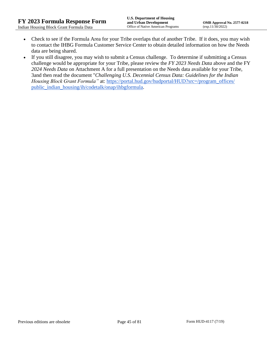- Check to see if the Formula Area for your Tribe overlaps that of another Tribe. If it does, you may wish to contact the IHBG Formula Customer Service Center to obtain detailed information on how the Needs data are being shared.
- If you still disagree, you may wish to submit a Census challenge. To determine if submitting a Census challenge would be appropriate for your Tribe, please review the *FY 2023 Needs Data* above and the FY *2024 Needs Data* on Attachment A for a full presentation on the Needs data available for your Tribe, 3and then read the document "*Challenging U.S. Decennial Census Data: Guidelines for the Indian Housing Block Grant Formula*" at: https://portal.hud.gov/hudportal/HUD?src=/program\_offices/ [public\\_indian\\_housing/ih/codetalk/onap/ihbgformula.](https://portal.hud.gov/hudportal/HUD?src=/program_offices/public_indian_housing/ih/codetalk/onap/ihbgformula)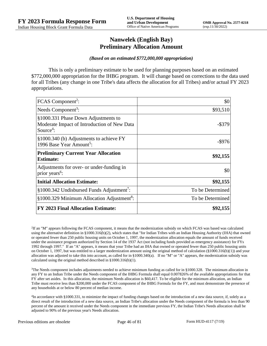## **Nanwelek (English Bay) Preliminary Allocation Amount**

#### *(Based on an estimated \$772,000,000 appropriation)*

This is only a preliminary estimate to be used for planning purposes based on an estimated \$772,000,000 appropriation for the IHBG program. It will change based on corrections to the data used for all Tribes (any change in one Tribe's data affects the allocation for all Tribes) and/or actual FY 2023 appropriations.

| FCAS Component <sup>2</sup> :                                                                               | \$0              |
|-------------------------------------------------------------------------------------------------------------|------------------|
| Needs Component <sup>3</sup> :                                                                              | \$93,510         |
| §1000.331 Phase Down Adjustments to<br>Moderate Impact of Introduction of New Data<br>Source <sup>4</sup> : | $-$ \$379        |
| §1000.340 (b) Adjustments to achieve FY<br>1996 Base Year Amount <sup>5</sup> :                             | $-$ \$976        |
| <b>Preliminary Current Year Allocation</b><br><b>Estimate:</b>                                              | \$92,155         |
| Adjustments for over- or under-funding in<br>prior years <sup>6</sup> :                                     | \$0              |
| <b>Initial Allocation Estimate:</b>                                                                         | \$92,155         |
| §1000.342 Undisbursed Funds Adjustment <sup>7</sup> :                                                       | To be Determined |
| §1000.329 Minimum Allocation Adjustment <sup>8</sup> :                                                      | To be Determined |
| <b>FY 2023 Final Allocation Estimate:</b>                                                                   | \$92,155         |

2 If an "M" appears following the FCAS component, it means that the modernization subsidy on which FCAS was based was calculated using the alternative definition in §1000.316(b)(2), which states that "for Indian Tribes with an Indian Housing Authority (IHA) that owned or operated fewer than 250 public housing units on October 1, 1997, the modernization allocation equals the amount of funds received under the assistance program authorized by Section 14 of the 1937 Act (not including funds provided as emergency assistance) for FYs 1992 through 1997." If an "A" appears, it means that your Tribe had an IHA that owned or operated fewer than 250 public housing units on October 1, 1997, but was entitled to a larger modernization amount using the original method of calculation (§1000.316(b)(1)) and your allocation was adjusted to take this into account, as called for in  $\S1000.340(a)$ . If no "M" or "A" appears, the modernization subsidy was calculated using the original method described in §1000.316(b)(1).

 $3$ The Needs component includes adjustments needed to achieve minimum funding as called for in §1000.328. The minimum allocation in any FY to an Indian Tribe under the Needs component of the IHBG Formula shall equal 0.007826% of the available appropriations for that FY after set asides. In this allocation, the minimum Needs allocation is \$60,417. To be eligible for the minimum allocation, an Indian Tribe must receive less than \$200,000 under the FCAS component of the IHBG Formula for the FY, and must demonstrate the presence of any households at or below 80 percent of median income.

4 In accordance with §1000.331, to minimize the impact of funding changes based on the introduction of a new data source, if, solely as a direct result of the introduction of a new data source, an Indian Tribe's allocation under the Needs component of the formula is less than 90 percent of the amount it received under the Needs component in the immediate previous FY, the Indian Tribe's Needs allocation shall be adjusted to 90% of the previous year's Needs allocation.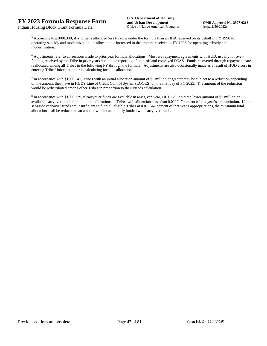<sup>5</sup> According to §1000.340, if a Tribe is allocated less funding under the formula than an IHA received on its behalf in FY 1996 for operating subsidy and modernization, its allocation is increased to the amount received in FY 1996 for operating subsidy and modernization.

<sup>6</sup> Adjustments refer to corrections made to prior year formula allocations. Most are repayment agreements with HUD, usually for overfunding received by the Tribe in prior years due to late reporting of paid-off and conveyed FCAS. Funds recovered through repayments are reallocated among all Tribes in the following FY through the formula. Adjustments are also occasionally made as a result of HUD errors in entering Tribes' information or in calculating formula allocations.

 $^7$  In accordance with §1000.342, Tribes with an initial allocation amount of \$5 million or greater may be subject to a reduction depending on the amount they have in HUD's Line of Credit Control System (LOCCS) on the first day of FY 2023. The amount of the reduction would be redistributed among other Tribes in proportion to their Needs calculation.

<sup>8</sup> In accordance with §1000.329, if carryover funds are available in any given year, HUD will hold the lesser amount of \$3 million or available carryover funds for additional allocations to Tribes with allocations less than 0.011547 percent of that year's appropriation. If the set-aside carryover funds are insufficient to fund all eligible Tribes at 0.011547 percent of that year's appropriations, the minimum total allocation shall be reduced to an amount which can be fully funded with carryover funds.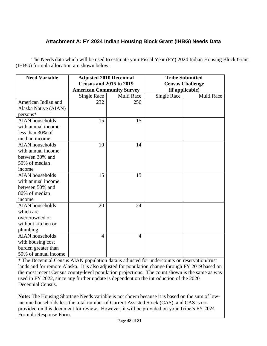# **Attachment A: FY 2024 Indian Housing Block Grant (IHBG) Needs Data**

The Needs data which will be used to estimate your Fiscal Year (FY) 2024 Indian Housing Block Grant (IHBG) formula allocation are shown below:

| <b>Need Variable</b>   | <b>Adjusted 2010 Decennial</b>   |                | <b>Tribe Submitted</b>  |            |
|------------------------|----------------------------------|----------------|-------------------------|------------|
|                        | <b>Census and 2015 to 2019</b>   |                | <b>Census Challenge</b> |            |
|                        | <b>American Community Survey</b> |                | (if applicable)         |            |
|                        | <b>Single Race</b>               | Multi Race     | <b>Single Race</b>      | Multi Race |
| American Indian and    | 232                              | 256            |                         |            |
| Alaska Native (AIAN)   |                                  |                |                         |            |
| persons*               |                                  |                |                         |            |
| <b>AIAN</b> households | 15                               | 15             |                         |            |
| with annual income     |                                  |                |                         |            |
| less than 30% of       |                                  |                |                         |            |
| median income          |                                  |                |                         |            |
| <b>AIAN</b> households | 10                               | 14             |                         |            |
| with annual income     |                                  |                |                         |            |
| between 30% and        |                                  |                |                         |            |
| 50% of median          |                                  |                |                         |            |
| income                 |                                  |                |                         |            |
| <b>AIAN</b> households | 15                               | 15             |                         |            |
| with annual income     |                                  |                |                         |            |
| between 50% and        |                                  |                |                         |            |
| 80% of median          |                                  |                |                         |            |
| income                 |                                  |                |                         |            |
| <b>AIAN</b> households | 20                               | 24             |                         |            |
| which are              |                                  |                |                         |            |
| overcrowded or         |                                  |                |                         |            |
| without kitchen or     |                                  |                |                         |            |
| plumbing               |                                  |                |                         |            |
| <b>AIAN</b> households | 4                                | $\overline{4}$ |                         |            |
| with housing cost      |                                  |                |                         |            |
| burden greater than    |                                  |                |                         |            |
| 50% of annual income   |                                  |                |                         |            |

\* The Decennial Census AIAN population data is adjusted for undercounts on reservation/trust lands and for remote Alaska. It is also adjusted for population change through FY 2019 based on the most recent Census county-level population projections. The count shown is the same as was used in FY 2022, since any further update is dependent on the introduction of the 2020 Decennial Census.

**Note:** The Housing Shortage Needs variable is not shown because it is based on the sum of lowincome households less the total number of Current Assisted Stock (CAS), and CAS is not provided on this document for review. However, it will be provided on your Tribe's FY 2024 Formula Response Form.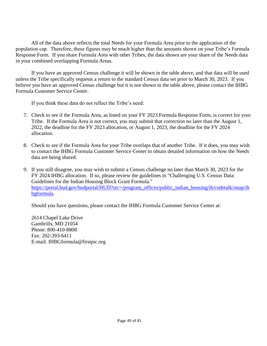All of the data above reflects the total Needs for your Formula Area prior to the application of the population cap. Therefore, these figures may be much higher than the amounts shown on your Tribe's Formula Response Form. If you share Formula Area with other Tribes, the data shown are your share of the Needs data in your combined overlapping Formula Areas.

If you have an approved Census challenge it will be shown in the table above, and that data will be used unless the Tribe specifically requests a return to the standard Census data set prior to March 30, 2023. If you believe you have an approved Census challenge but it is not shown in the table above, please contact the IHBG Formula Customer Service Center.

If you think these data do not reflect the Tribe's need:

- 7. Check to see if the Formula Area, as listed on your FY 2023 Formula Response Form, is correct for your Tribe. If the Formula Area is not correct, you may submit that correction no later than the August 1, 2022, the deadline for the FY 2023 allocation, or August 1, 2023, the deadline for the FY 2024 allocation.
- 8. Check to see if the Formula Area for your Tribe overlaps that of another Tribe. If it does, you may wish to contact the IHBG Formula Customer Service Center to obtain detailed information on how the Needs data are being shared.
- 9. If you still disagree, you may wish to submit a Census challenge no later than March 30, 2023 for the FY 2024 IHBG allocation. If so, please review the guidelines in "Challenging U.S. Census Data: Guidelines for the Indian Housing Block Grant Formula." [https://portal.hud.gov/hudportal/HUD?src=/program\\_offices/public\\_indian\\_housing/ih/codetalk/onap/ih](https://portal.hud.gov/hudportal/HUD?src=/program_offices/public_indian_housing/ih/codetalk/onap/ihbgformula) [bgformula.](https://portal.hud.gov/hudportal/HUD?src=/program_offices/public_indian_housing/ih/codetalk/onap/ihbgformula)

Should you have questions, please contact the IHBG Formula Customer Service Center at:

2614 Chapel Lake Drive Gambrills, MD 21054 Phone: 800-410-8808 Fax: 202-393-6411 E-mail: IHBGformula@firstpic.org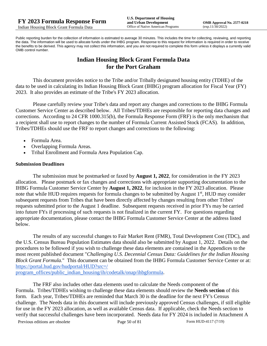Public reporting burden for the collection of information is estimated to average 30 minutes. This includes the time for collecting, reviewing, and reporting the data. The information will be used to allocate funds under the IHBG program. Response to this request for information is required in order to receive the benefits to be derived. This agency may not collect this information, and you are not required to complete this form unless it displays a currently valid OMB control number.

# **Indian Housing Block Grant Formula Data for the Port Graham**

This document provides notice to the Tribe and/or Tribally designated housing entity (TDHE) of the data to be used in calculating its Indian Housing Block Grant (IHBG) program allocation for Fiscal Year (FY) 2023. It also provides an estimate of the Tribe's FY 2023 allocation.

Please carefully review your Tribe's data and report any changes and corrections to the IHBG Formula Customer Service Center as described below. All Tribes/TDHEs are responsible for reporting data changes and corrections. According to 24 CFR 1000.315(b), the Formula Response Form (FRF) is the only mechanism that a recipient shall use to report changes to the number of Formula Current Assisted Stock (FCAS). In addition, Tribes/TDHEs should use the FRF to report changes and corrections to the following:

- Formula Area.
- Overlapping Formula Areas.
- Tribal Enrollment and Formula Area Population Cap.

### **Submission Deadlines**

The submission must be postmarked or faxed by **August 1, 2022**, for consideration in the FY 2023 allocation. Please postmark or fax changes and corrections with appropriate supporting documentation to the IHBG Formula Customer Service Center by **August 1, 2022**, for inclusion in the FY 2023 allocation. Please note that while HUD requires requests for formula changes to be submitted by August 1<sup>st</sup>, HUD may consider subsequent requests from Tribes that have been directly affected by changes resulting from other Tribes' requests submitted prior to the August 1 deadline. Subsequent requests received in prior FYs may be carried into future FYs if processing of such requests is not finalized in the current FY. For questions regarding appropriate documentation, please contact the IHBG Formula Customer Service Center at the address listed below.

The results of any successful changes to Fair Market Rent (FMR), Total Development Cost (TDC), and the U.S. Census Bureau Population Estimates data should also be submitted by August 1, 2022. Details on the procedures to be followed if you wish to challenge these data elements are contained in the Appendices to the most recent published document "*Challenging U.S. Decennial Census Data: Guidelines for the Indian Housing Block Grant Formula.*" This document can be obtained from the IHBG Formula Customer Service Center or at: [https://portal.hud.gov/hudportal/HUD?src=/](https://portal.hud.gov/hudportal/HUD?src=/program_offices/public_indian_housing/ih/codetalk/onap/ihbgformula) 

[program\\_offices/public\\_indian\\_housing/ih/codetalk/onap/ihbgformula.](https://portal.hud.gov/hudportal/HUD?src=/program_offices/public_indian_housing/ih/codetalk/onap/ihbgformula)

The FRF also includes other data elements used to calculate the Needs component of the Formula. Tribes/TDHEs wishing to challenge these data elements should review the **Needs section** of this form. Each year, Tribes/TDHEs are reminded that March 30 is the deadline for the next FY's Census challenge. The Needs data in this document will include previously approved Census challenges, if still eligible for use in the FY 2023 allocation, as well as available Census data. If applicable, check the Needs section to verify that successful challenges have been incorporated. Needs data for FY 2024 is included in Attachment A

Previous editions are obsolete Page 50 of 81 Form HUD-4117 (7/19)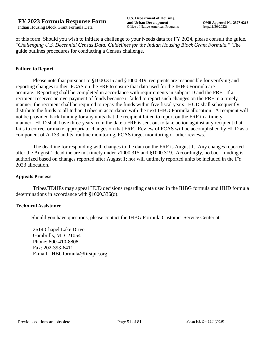of this form. Should you wish to initiate a challenge to your Needs data for FY 2024, please consult the guide, "*Challenging U.S. Decennial Census Data: Guidelines for the Indian Housing Block Grant Formula.*" The guide outlines procedures for conducting a Census challenge.

### **Failure to Report**

Please note that pursuant to §1000.315 and §1000.319, recipients are responsible for verifying and reporting changes to their FCAS on the FRF to ensure that data used for the IHBG Formula are accurate. Reporting shall be completed in accordance with requirements in subpart D and the FRF. If a recipient receives an overpayment of funds because it failed to report such changes on the FRF in a timely manner, the recipient shall be required to repay the funds within five fiscal years. HUD shall subsequently distribute the funds to all Indian Tribes in accordance with the next IHBG Formula allocation. A recipient will not be provided back funding for any units that the recipient failed to report on the FRF in a timely manner. HUD shall have three years from the date a FRF is sent out to take action against any recipient that fails to correct or make appropriate changes on that FRF. Review of FCAS will be accomplished by HUD as a component of A-133 audits, routine monitoring, FCAS target monitoring or other reviews.

The deadline for responding with changes to the data on the FRF is August 1. Any changes reported after the August 1 deadline are not timely under §1000.315 and §1000.319. Accordingly, no back funding is authorized based on changes reported after August 1; nor will untimely reported units be included in the FY 2023 allocation.

#### **Appeals Process**

Tribes/TDHEs may appeal HUD decisions regarding data used in the IHBG formula and HUD formula determinations in accordance with §1000.336(d).

#### **Technical Assistance**

Should you have questions, please contact the IHBG Formula Customer Service Center at:

2614 Chapel Lake Drive Gambrills, MD 21054 Phone: 800-410-8808 Fax: 202-393-6411 E-mail: IHBGformula@firstpic.org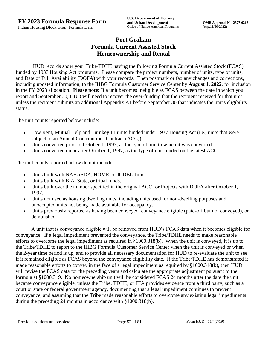# **Port Graham Formula Current Assisted Stock Homeownership and Rental**

HUD records show your Tribe/TDHE having the following Formula Current Assisted Stock (FCAS) funded by 1937 Housing Act programs. Please compare the project numbers, number of units, type of units, and Date of Full Availability (DOFA) with your records. Then postmark or fax any changes and corrections, including updated information, to the IHBG Formula Customer Service Center by **August 1, 2022**, for inclusion in the FY 2023 allocation. **Please note:** If a unit becomes ineligible as FCAS between the date in which you report and September 30, HUD will need to recover the over-funding that the recipient received for that unit unless the recipient submits an additional Appendix A1 before September 30 that indicates the unit's eligibility status.

The unit counts reported below include:

- Low Rent, Mutual Help and Turnkey III units funded under 1937 Housing Act (i.e., units that were subject to an Annual Contributions Contract (ACC)).
- Units converted prior to October 1, 1997, as the type of unit to which it was converted.
- Units converted on or after October 1, 1997, as the type of unit funded on the latest ACC.

The unit counts reported below <u>do not</u> include:

- Units built with NAHASDA, HOME, or ICDBG funds.
- Units built with BIA, State, or tribal funds.
- Units built over the number specified in the original ACC for Projects with DOFA after October 1, 1997.
- Units not used as housing dwelling units, including units used for non-dwelling purposes and unoccupied units not being made available for occupancy.
- Units previously reported as having been conveyed, conveyance eligible (paid-off but not conveyed), or demolished.

A unit that is conveyance eligible will be removed from HUD's FCAS data when it becomes eligible for conveyance. If a legal impediment prevented the conveyance, the Tribe/TDHE needs to make reasonable efforts to overcome the legal impediment as required in §1000.318(b). When the unit is conveyed, it is up to the Tribe/TDHE to report to the IHBG Formula Customer Service Center when the unit is conveyed or when the 2-year time period is up, and to provide all necessary documentation for HUD to re-evaluate the unit to see if it remained eligible as FCAS beyond the conveyance eligibility date. If the Tribe/TDHE has demonstrated it made reasonable efforts to convey in the face of a legal impediment as required by §1000.318(b), then HUD will revise the FCAS data for the preceding years and calculate the appropriate adjustment pursuant to the formula at §1000.319. No homeownership unit will be considered FCAS 24 months after the date the unit became conveyance eligible, unless the Tribe, TDHE, or IHA provides evidence from a third party, such as a court or state or federal government agency, documenting that a legal impediment continues to prevent conveyance, and assuming that the Tribe made reasonable efforts to overcome any existing legal impediments during the preceding 24 months in accordance with §1000.318(b).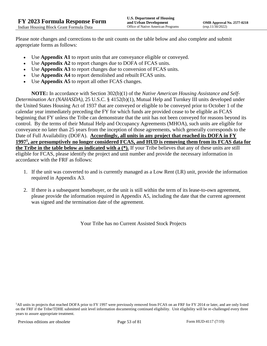Please note changes and corrections to the unit counts on the table below and also complete and submit appropriate forms as follows:

- Use **Appendix A1** to report units that are conveyance eligible or conveyed.
- Use **Appendix A2** to report changes due to DOFA of FCAS units.
- Use **Appendix A3** to report changes due to conversion of FCAS units.
- Use **Appendix A4** to report demolished and rebuilt FCAS units.
- Use **Appendix A5** to report all other FCAS changes.

**NOTE:** In accordance with Section 302(b)(1) of the *Native American Housing Assistance and Self-Determination Act (NAHASDA)*, 25 U.S.C. § 4152(b)(1), Mutual Help and Turnkey III units developed under the United States Housing Act of 1937 that are conveyed or eligible to be conveyed prior to October 1 of the calendar year immediately preceding the FY for which funds are provided cease to be eligible as FCAS beginning that FY unless the Tribe can demonstrate that the unit has not been conveyed for reasons beyond its control. By the terms of their Mutual Help and Occupancy Agreements (MHOA), such units are eligible for conveyance no later than 25 years from the inception of those agreements, which generally corresponds to the Date of Full Availability (DOFA). **Accordingly, all units in any project that reached its DOFA in FY 1997<sup>1</sup> , are presumptively no longer considered FCAS, and HUD is removing them from its FCAS data for the Tribe in the table below as indicated with a (\*).** If your Tribe believes that any of these units are still eligible for FCAS, please identify the project and unit number and provide the necessary information in accordance with the FRF as follows:

- 1. If the unit was converted to and is currently managed as a Low Rent (LR) unit, provide the information required in Appendix A3.
- 2. If there is a subsequent homebuyer, or the unit is still within the term of its lease-to-own agreement, please provide the information required in Appendix A5, including the date that the current agreement was signed and the termination date of the agreement.

Your Tribe has no Current Assisted Stock Projects

<sup>1</sup>All units in projects that reached DOFA prior to FY 1997 were previously removed from FCAS on an FRF for FY 2014 or later, and are only listed on the FRF if the Tribe/TDHE submitted unit level information documenting continued eligibility. Unit eligibility will be re-challenged every three years to assure appropriate treatment.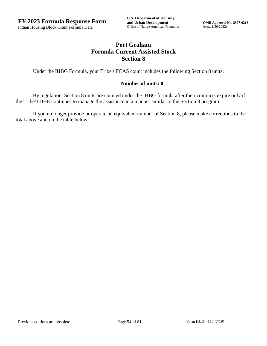# **Port Graham Formula Current Assisted Stock Section 8**

Under the IHBG Formula, your Tribe's FCAS count includes the following Section 8 units:

### **Number of units: 0**

By regulation, Section 8 units are counted under the IHBG formula after their contracts expire only if the Tribe/TDHE continues to manage the assistance in a manner similar to the Section 8 program.

If you no longer provide or operate an equivalent number of Section 8, please make corrections to the total above and on the table below.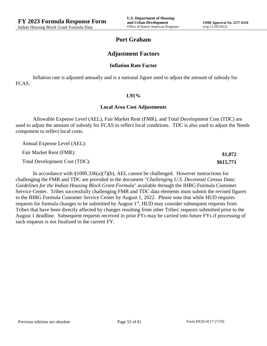**\$1,072 \$615,771**

## **Port Graham**

## **Adjustment Factors**

#### **Inflation Rate Factor**

Inflation rate is adjusted annually and is a national figure used to adjust the amount of subsidy for FCAS.

#### **1.91%**

#### **Local Area Cost Adjustments**

Allowable Expense Level (AEL), Fair Market Rent (FMR), and Total Development Cost (TDC) are used to adjust the amount of subsidy for FCAS to reflect local conditions. TDC is also used to adjust the Needs component to reflect local costs.

Annual Expense Level (AEL):

Fair Market Rent (FMR):

Total Development Cost (TDC):

In accordance with §1000.336(a)(7)(b), AEL cannot be challenged. However instructions for challenging the FMR and TDC are provided in the document "*Challenging U.S. Decennial Census Data: Guidelines for the Indian Housing Block Grant Formula*" available through the IHBG Formula Customer Service Center. Tribes successfully challenging FMR and TDC data elements must submit the revised figures to the IHBG Formula Customer Service Center by August 1, 2022. Please note that while HUD requires requests for formula changes to be submitted by August 1<sup>st</sup>, HUD may consider subsequent requests from Tribes that have been directly affected by changes resulting from other Tribes' requests submitted prior to the August 1 deadline. Subsequent requests received in prior FYs may be carried into future FYs if processing of such requests is not finalized in the current FY.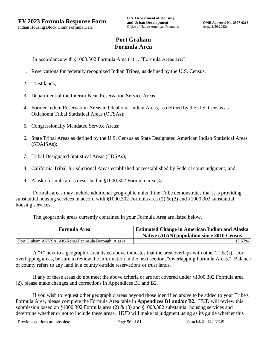# **Port Graham Formula Area**

In accordance with §1000.302 Formula Area (1)…."Formula Areas are:"

- 1. Reservations for federally recognized Indian Tribes, as defined by the U.S. Census;
- 2. Trust lands;
- 3. Department of the Interior Near-Reservation Service Areas;
- 4. Former Indian Reservation Areas in Oklahoma Indian Areas, as defined by the U.S. Census as Oklahoma Tribal Statistical Areas (OTSAs);
- 5. Congressionally Mandated Service Areas;
- 6. State Tribal Areas as defined by the U.S. Census as State Designated American Indian Statistical Areas (SDAISAs);
- 7. Tribal Designated Statistical Areas (TDSAs);
- 8. California Tribal Jurisdictional Areas established or reestablished by Federal court judgment; and
- 9. Alaska formula areas described in §1000.302 Formula area (4).

Formula areas may include additional geographic units if the Tribe demonstrates that it is providing substantial housing services in accord with §1000.302 Formula area (2) & (3) and §1000.302 substantial housing services.

The geographic areas currently contained in your Formula Area are listed below.

| <b>Formula Area</b>                                   | <b>Estimated Change in American Indian and Alaska</b><br><b>Native (AIAN) population since 2010 Census</b> |
|-------------------------------------------------------|------------------------------------------------------------------------------------------------------------|
| Port Graham ANVSA, AK-Kenai Peninsula Borough, Alaska | 13.67%                                                                                                     |

A "+" next to a geographic area listed above indicates that the area overlaps with other Tribe(s). For overlapping areas, be sure to review the information in the next section, "Overlapping Formula Areas." Balance of county refers to any land in a county outside reservations or trust lands.

If any of these areas do not meet the above criteria or are not covered under §1000.302 Formula area (2), please make changes and corrections in Appendices B1 and B2.

If you wish to request other geographic areas beyond those identified above to be added to your Tribe's Formula Area, please complete the Formula Area table in **Appendices B1 and/or B2.** HUD will review this submission based on §1000.302 Formula area (2) & (3) and §1000.302 substantial housing services and determine whether or not to include these areas. HUD will make its judgment using as its guide whether this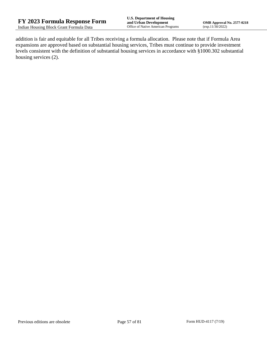addition is fair and equitable for all Tribes receiving a formula allocation. Please note that if Formula Area expansions are approved based on substantial housing services, Tribes must continue to provide investment levels consistent with the definition of substantial housing services in accordance with §1000.302 substantial housing services (2).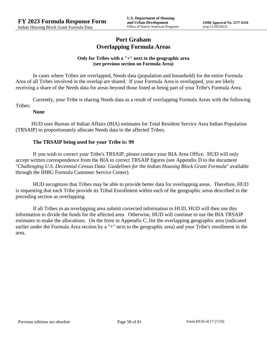## **Port Graham Overlapping Formula Areas**

### **Only for Tribes with a "+" next to the geographic area (see previous section on Formula Area)**

In cases where Tribes are overlapped, Needs data (population and household) for the entire Formula Area of all Tribes involved in the overlap are shared. If your Formula Area is overlapped, you are likely receiving a share of the Needs data for areas beyond those listed as being part of your Tribe's Formula Area.

Currently, your Tribe is sharing Needs data as a result of overlapping Formula Areas with the following Tribes:

### **None**

HUD uses Bureau of Indian Affairs (BIA) estimates for Total Resident Service Area Indian Population (TRSAIP) to proportionately allocate Needs data to the affected Tribes.

## **The TRSAIP being used for your Tribe is: 99**

If you wish to correct your Tribe's TRSAIP, please contact your BIA Area Office. HUD will only accept written correspondence from the BIA to correct TRSAIP figures (see Appendix D to the document "*Challenging U.S. Decennial Census Data: Guidelines for the Indian Housing Block Grant Formula*" available through the IHBG Formula Customer Service Center).

HUD recognizes that Tribes may be able to provide better data for overlapping areas. Therefore, HUD is requesting that each Tribe provide its Tribal Enrollment within each of the geographic areas described in the preceding section as overlapping.

If all Tribes in an overlapping area submit corrected information to HUD, HUD will then use this information to divide the funds for the affected area. Otherwise, HUD will continue to use the BIA TRSAIP estimates to make the allocations. On the form in Appendix C, list the overlapping geographic area (indicated earlier under the Formula Area section by a "+" next to the geographic area) and your Tribe's enrollment in the area.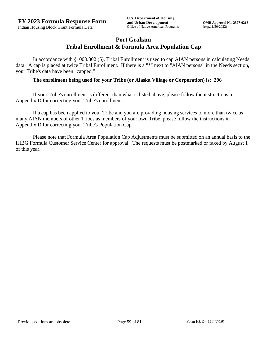## **Port Graham Tribal Enrollment & Formula Area Population Cap**

In accordance with §1000.302 (5), Tribal Enrollment is used to cap AIAN persons in calculating Needs data. A cap is placed at twice Tribal Enrollment. If there is a "\*" next to "AIAN persons" in the Needs section, your Tribe's data have been "capped."

### **The enrollment being used for your Tribe (or Alaska Village or Corporation) is: 296**

If your Tribe's enrollment is different than what is listed above, please follow the instructions in Appendix D for correcting your Tribe's enrollment.

If a cap has been applied to your Tribe and you are providing housing services to more than twice as many AIAN members of other Tribes as members of your own Tribe, please follow the instructions in Appendix D for correcting your Tribe's Population Cap.

Please note that Formula Area Population Cap Adjustments must be submitted on an annual basis to the IHBG Formula Customer Service Center for approval. The requests must be postmarked or faxed by August 1 of this year.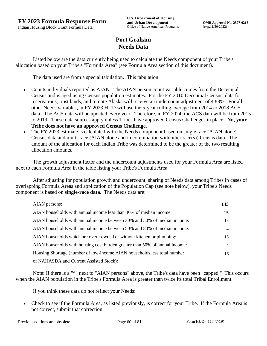# **Port Graham Needs Data**

Listed below are the data currently being used to calculate the Needs component of your Tribe's allocation based on your Tribe's "Formula Area" (see Formula Area section of this document).

The data used are from a special tabulation. This tabulation:

- Counts individuals reported as AIAN. The AIAN person count variable comes from the Decennial Census and is aged using Census population estimates. For the FY 2010 Decennial Census, data for reservations, trust lands, and remote Alaska will receive an undercount adjustment of 4.88%. For all other Needs variables, in FY 2023 HUD will use the 5-year rolling average from 2014 to 2018 ACS data. The ACS data will be updated every year. Therefore, in FY 2024, the ACS data will be from 2015 to 2019. These data sources apply unless Tribes have approved Census Challenges in place. **No, your Tribe does not have an approved Census Challenge.**
- The FY 2023 estimate is calculated with the Needs component based on single race (AIAN alone) Census data and multi-race (AIAN alone and in combination with other race(s)) Census data. The amount of the allocation for each Indian Tribe was determined to be the greater of the two resulting allocation amounts.

The growth adjustment factor and the undercount adjustments used for your Formula Area are listed next to each Formula Area in the table listing your Tribe's Formula Area.

After adjusting for population growth and undercount, sharing of Needs data among Tribes in cases of overlapping Formula Areas and application of the Population Cap (see note below), your Tribe's Needs component is based on **single-race data**. The Needs data are:

| AIAN persons:                                                               | 143 |
|-----------------------------------------------------------------------------|-----|
| AIAN households with annual income less than 30% of median income:          | 15  |
| AIAN households with annual income between 30% and 50% of median income:    | 15  |
| AIAN households with annual income between 50% and 80% of median income:    | 4   |
| AIAN households which are overcrowded or without kitchen or plumbing:       | 15  |
| AIAN households with housing cost burden greater than 50% of annual income: | 4   |
| Housing Shortage (number of low-income AIAN households less total number    | 16  |
| of NAHASDA and Current Assisted Stock):                                     |     |

Note: If there is a "\*" next to "AIAN persons" above, the Tribe's data have been "capped." This occurs when the AIAN population in the Tribe's Formula Area is greater than twice its total Tribal Enrollment.

If you think these data do not reflect your Needs:

 Check to see if the Formula Area, as listed previously, is correct for your Tribe. If the Formula Area is not correct, submit that correction.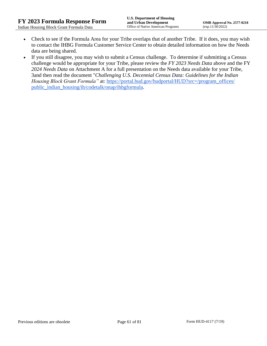- Check to see if the Formula Area for your Tribe overlaps that of another Tribe. If it does, you may wish to contact the IHBG Formula Customer Service Center to obtain detailed information on how the Needs data are being shared.
- If you still disagree, you may wish to submit a Census challenge. To determine if submitting a Census challenge would be appropriate for your Tribe, please review the *FY 2023 Needs Data* above and the FY *2024 Needs Data* on Attachment A for a full presentation on the Needs data available for your Tribe, 3and then read the document "*Challenging U.S. Decennial Census Data: Guidelines for the Indian Housing Block Grant Formula*" at: https://portal.hud.gov/hudportal/HUD?src=/program\_offices/ [public\\_indian\\_housing/ih/codetalk/onap/ihbgformula.](https://portal.hud.gov/hudportal/HUD?src=/program_offices/public_indian_housing/ih/codetalk/onap/ihbgformula)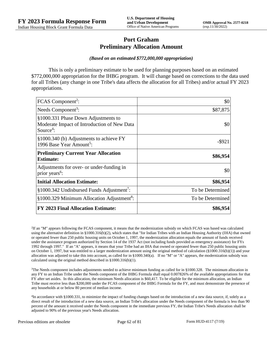## **Port Graham Preliminary Allocation Amount**

#### *(Based on an estimated \$772,000,000 appropriation)*

This is only a preliminary estimate to be used for planning purposes based on an estimated \$772,000,000 appropriation for the IHBG program. It will change based on corrections to the data used for all Tribes (any change in one Tribe's data affects the allocation for all Tribes) and/or actual FY 2023 appropriations.

| FCAS Component <sup>2</sup> :                                                                               | \$0              |
|-------------------------------------------------------------------------------------------------------------|------------------|
| Needs Component <sup>3</sup> :                                                                              | \$87,875         |
| §1000.331 Phase Down Adjustments to<br>Moderate Impact of Introduction of New Data<br>Source <sup>4</sup> : | \$0              |
| §1000.340 (b) Adjustments to achieve FY<br>1996 Base Year Amount <sup>5</sup> :                             | -\$921           |
| <b>Preliminary Current Year Allocation</b><br><b>Estimate:</b>                                              | \$86,954         |
| Adjustments for over- or under-funding in<br>prior years <sup>6</sup> :                                     | \$0              |
| <b>Initial Allocation Estimate:</b>                                                                         | \$86,954         |
| §1000.342 Undisbursed Funds Adjustment <sup>7</sup> :                                                       | To be Determined |
| §1000.329 Minimum Allocation Adjustment <sup>8</sup> :                                                      | To be Determined |
| <b>FY 2023 Final Allocation Estimate:</b>                                                                   | \$86,954         |

2 If an "M" appears following the FCAS component, it means that the modernization subsidy on which FCAS was based was calculated using the alternative definition in §1000.316(b)(2), which states that "for Indian Tribes with an Indian Housing Authority (IHA) that owned or operated fewer than 250 public housing units on October 1, 1997, the modernization allocation equals the amount of funds received under the assistance program authorized by Section 14 of the 1937 Act (not including funds provided as emergency assistance) for FYs 1992 through 1997." If an "A" appears, it means that your Tribe had an IHA that owned or operated fewer than 250 public housing units on October 1, 1997, but was entitled to a larger modernization amount using the original method of calculation (§1000.316(b)(1)) and your allocation was adjusted to take this into account, as called for in  $\S1000.340(a)$ . If no "M" or "A" appears, the modernization subsidy was calculated using the original method described in §1000.316(b)(1).

 $3$ The Needs component includes adjustments needed to achieve minimum funding as called for in §1000.328. The minimum allocation in any FY to an Indian Tribe under the Needs component of the IHBG Formula shall equal 0.007826% of the available appropriations for that FY after set asides. In this allocation, the minimum Needs allocation is \$60,417. To be eligible for the minimum allocation, an Indian Tribe must receive less than \$200,000 under the FCAS component of the IHBG Formula for the FY, and must demonstrate the presence of any households at or below 80 percent of median income.

4 In accordance with §1000.331, to minimize the impact of funding changes based on the introduction of a new data source, if, solely as a direct result of the introduction of a new data source, an Indian Tribe's allocation under the Needs component of the formula is less than 90 percent of the amount it received under the Needs component in the immediate previous FY, the Indian Tribe's Needs allocation shall be adjusted to 90% of the previous year's Needs allocation.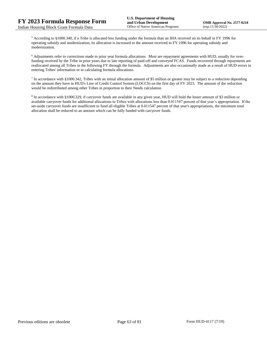<sup>5</sup> According to §1000.340, if a Tribe is allocated less funding under the formula than an IHA received on its behalf in FY 1996 for operating subsidy and modernization, its allocation is increased to the amount received in FY 1996 for operating subsidy and modernization.

<sup>6</sup> Adjustments refer to corrections made to prior year formula allocations. Most are repayment agreements with HUD, usually for overfunding received by the Tribe in prior years due to late reporting of paid-off and conveyed FCAS. Funds recovered through repayments are reallocated among all Tribes in the following FY through the formula. Adjustments are also occasionally made as a result of HUD errors in entering Tribes' information or in calculating formula allocations.

In accordance with §1000.342, Tribes with an initial allocation amount of \$5 million or greater may be subject to a reduction depending on the amount they have in HUD's Line of Credit Control System (LOCCS) on the first day of FY 2023. The amount of the reduction would be redistributed among other Tribes in proportion to their Needs calculation.

<sup>8</sup> In accordance with §1000.329, if carryover funds are available in any given year, HUD will hold the lesser amount of \$3 million or available carryover funds for additional allocations to Tribes with allocations less than 0.011547 percent of that year's appropriation. If the set-aside carryover funds are insufficient to fund all eligible Tribes at 0.011547 percent of that year's appropriations, the minimum total allocation shall be reduced to an amount which can be fully funded with carryover funds.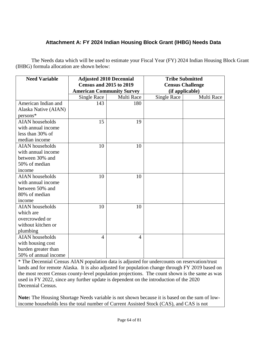# **Attachment A: FY 2024 Indian Housing Block Grant (IHBG) Needs Data**

The Needs data which will be used to estimate your Fiscal Year (FY) 2024 Indian Housing Block Grant (IHBG) formula allocation are shown below:

| <b>Need Variable</b>   | <b>Adjusted 2010 Decennial</b>                                     |                | <b>Tribe Submitted</b>                     |            |
|------------------------|--------------------------------------------------------------------|----------------|--------------------------------------------|------------|
|                        | <b>Census and 2015 to 2019</b><br><b>American Community Survey</b> |                | <b>Census Challenge</b><br>(if applicable) |            |
|                        | Multi Race<br>Single Race                                          |                | <b>Single Race</b>                         | Multi Race |
| American Indian and    | 143                                                                | 180            |                                            |            |
| Alaska Native (AIAN)   |                                                                    |                |                                            |            |
| $persons*$             |                                                                    |                |                                            |            |
| <b>AIAN</b> households | 15                                                                 | 19             |                                            |            |
| with annual income     |                                                                    |                |                                            |            |
| less than 30% of       |                                                                    |                |                                            |            |
| median income          |                                                                    |                |                                            |            |
| <b>AIAN</b> households | 10                                                                 | 10             |                                            |            |
| with annual income     |                                                                    |                |                                            |            |
| between 30% and        |                                                                    |                |                                            |            |
| 50% of median          |                                                                    |                |                                            |            |
| income                 |                                                                    |                |                                            |            |
| <b>AIAN</b> households | 10                                                                 | 10             |                                            |            |
| with annual income     |                                                                    |                |                                            |            |
| between 50% and        |                                                                    |                |                                            |            |
| 80% of median          |                                                                    |                |                                            |            |
| income                 |                                                                    |                |                                            |            |
| <b>AIAN</b> households | 10                                                                 | 10             |                                            |            |
| which are              |                                                                    |                |                                            |            |
| overcrowded or         |                                                                    |                |                                            |            |
| without kitchen or     |                                                                    |                |                                            |            |
| plumbing               |                                                                    |                |                                            |            |
| <b>AIAN</b> households | 4                                                                  | $\overline{4}$ |                                            |            |
| with housing cost      |                                                                    |                |                                            |            |
| burden greater than    |                                                                    |                |                                            |            |
| 50% of annual income   |                                                                    |                |                                            |            |

\* The Decennial Census AIAN population data is adjusted for undercounts on reservation/trust lands and for remote Alaska. It is also adjusted for population change through FY 2019 based on the most recent Census county-level population projections. The count shown is the same as was used in FY 2022, since any further update is dependent on the introduction of the 2020 Decennial Census.

**Note:** The Housing Shortage Needs variable is not shown because it is based on the sum of lowincome households less the total number of Current Assisted Stock (CAS), and CAS is not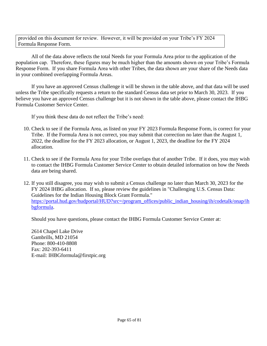provided on this document for review. However, it will be provided on your Tribe's FY 2024 Formula Response Form.

All of the data above reflects the total Needs for your Formula Area prior to the application of the population cap. Therefore, these figures may be much higher than the amounts shown on your Tribe's Formula Response Form. If you share Formula Area with other Tribes, the data shown are your share of the Needs data in your combined overlapping Formula Areas.

If you have an approved Census challenge it will be shown in the table above, and that data will be used unless the Tribe specifically requests a return to the standard Census data set prior to March 30, 2023. If you believe you have an approved Census challenge but it is not shown in the table above, please contact the IHBG Formula Customer Service Center.

If you think these data do not reflect the Tribe's need:

- 10. Check to see if the Formula Area, as listed on your FY 2023 Formula Response Form, is correct for your Tribe. If the Formula Area is not correct, you may submit that correction no later than the August 1, 2022, the deadline for the FY 2023 allocation, or August 1, 2023, the deadline for the FY 2024 allocation.
- 11. Check to see if the Formula Area for your Tribe overlaps that of another Tribe. If it does, you may wish to contact the IHBG Formula Customer Service Center to obtain detailed information on how the Needs data are being shared.
- 12. If you still disagree, you may wish to submit a Census challenge no later than March 30, 2023 for the FY 2024 IHBG allocation. If so, please review the guidelines in "Challenging U.S. Census Data: Guidelines for the Indian Housing Block Grant Formula." [https://portal.hud.gov/hudportal/HUD?src=/program\\_offices/public\\_indian\\_housing/ih/codetalk/onap/ih](https://portal.hud.gov/hudportal/HUD?src=/program_offices/public_indian_housing/ih/codetalk/onap/ihbgformula) [bgformula.](https://portal.hud.gov/hudportal/HUD?src=/program_offices/public_indian_housing/ih/codetalk/onap/ihbgformula)

Should you have questions, please contact the IHBG Formula Customer Service Center at:

2614 Chapel Lake Drive Gambrills, MD 21054 Phone: 800-410-8808 Fax: 202-393-6411 E-mail: IHBGformula@firstpic.org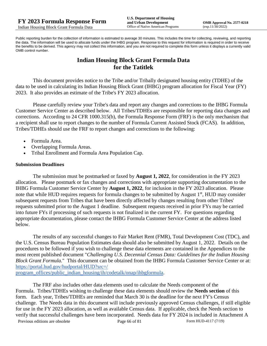Public reporting burden for the collection of information is estimated to average 30 minutes. This includes the time for collecting, reviewing, and reporting the data. The information will be used to allocate funds under the IHBG program. Response to this request for information is required in order to receive the benefits to be derived. This agency may not collect this information, and you are not required to complete this form unless it displays a currently valid OMB control number.

# **Indian Housing Block Grant Formula Data for the Tatitlek**

This document provides notice to the Tribe and/or Tribally designated housing entity (TDHE) of the data to be used in calculating its Indian Housing Block Grant (IHBG) program allocation for Fiscal Year (FY) 2023. It also provides an estimate of the Tribe's FY 2023 allocation.

Please carefully review your Tribe's data and report any changes and corrections to the IHBG Formula Customer Service Center as described below. All Tribes/TDHEs are responsible for reporting data changes and corrections. According to 24 CFR 1000.315(b), the Formula Response Form (FRF) is the only mechanism that a recipient shall use to report changes to the number of Formula Current Assisted Stock (FCAS). In addition, Tribes/TDHEs should use the FRF to report changes and corrections to the following:

- Formula Area.
- Overlapping Formula Areas.
- Tribal Enrollment and Formula Area Population Cap.

### **Submission Deadlines**

The submission must be postmarked or faxed by **August 1, 2022**, for consideration in the FY 2023 allocation. Please postmark or fax changes and corrections with appropriate supporting documentation to the IHBG Formula Customer Service Center by **August 1, 2022**, for inclusion in the FY 2023 allocation. Please note that while HUD requires requests for formula changes to be submitted by August 1<sup>st</sup>, HUD may consider subsequent requests from Tribes that have been directly affected by changes resulting from other Tribes' requests submitted prior to the August 1 deadline. Subsequent requests received in prior FYs may be carried into future FYs if processing of such requests is not finalized in the current FY. For questions regarding appropriate documentation, please contact the IHBG Formula Customer Service Center at the address listed below.

The results of any successful changes to Fair Market Rent (FMR), Total Development Cost (TDC), and the U.S. Census Bureau Population Estimates data should also be submitted by August 1, 2022. Details on the procedures to be followed if you wish to challenge these data elements are contained in the Appendices to the most recent published document "*Challenging U.S. Decennial Census Data: Guidelines for the Indian Housing Block Grant Formula.*" This document can be obtained from the IHBG Formula Customer Service Center or at: [https://portal.hud.gov/hudportal/HUD?src=/](https://portal.hud.gov/hudportal/HUD?src=/program_offices/public_indian_housing/ih/codetalk/onap/ihbgformula) 

[program\\_offices/public\\_indian\\_housing/ih/codetalk/onap/ihbgformula.](https://portal.hud.gov/hudportal/HUD?src=/program_offices/public_indian_housing/ih/codetalk/onap/ihbgformula)

Previous editions are obsolete Page 66 of 81 Form HUD-4117 (7/19) The FRF also includes other data elements used to calculate the Needs component of the Formula. Tribes/TDHEs wishing to challenge these data elements should review the **Needs section** of this form. Each year, Tribes/TDHEs are reminded that March 30 is the deadline for the next FY's Census challenge. The Needs data in this document will include previously approved Census challenges, if still eligible for use in the FY 2023 allocation, as well as available Census data. If applicable, check the Needs section to verify that successful challenges have been incorporated. Needs data for FY 2024 is included in Attachment A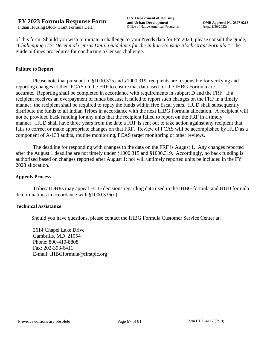of this form. Should you wish to initiate a challenge to your Needs data for FY 2024, please consult the guide, "*Challenging U.S. Decennial Census Data: Guidelines for the Indian Housing Block Grant Formula.*" The guide outlines procedures for conducting a Census challenge.

#### **Failure to Report**

Please note that pursuant to §1000.315 and §1000.319, recipients are responsible for verifying and reporting changes to their FCAS on the FRF to ensure that data used for the IHBG Formula are accurate. Reporting shall be completed in accordance with requirements in subpart D and the FRF. If a recipient receives an overpayment of funds because it failed to report such changes on the FRF in a timely manner, the recipient shall be required to repay the funds within five fiscal years. HUD shall subsequently distribute the funds to all Indian Tribes in accordance with the next IHBG Formula allocation. A recipient will not be provided back funding for any units that the recipient failed to report on the FRF in a timely manner. HUD shall have three years from the date a FRF is sent out to take action against any recipient that fails to correct or make appropriate changes on that FRF. Review of FCAS will be accomplished by HUD as a component of A-133 audits, routine monitoring, FCAS target monitoring or other reviews.

The deadline for responding with changes to the data on the FRF is August 1. Any changes reported after the August 1 deadline are not timely under §1000.315 and §1000.319. Accordingly, no back funding is authorized based on changes reported after August 1; nor will untimely reported units be included in the FY 2023 allocation.

#### **Appeals Process**

Tribes/TDHEs may appeal HUD decisions regarding data used in the IHBG formula and HUD formula determinations in accordance with §1000.336(d).

#### **Technical Assistance**

Should you have questions, please contact the IHBG Formula Customer Service Center at:

2614 Chapel Lake Drive Gambrills, MD 21054 Phone: 800-410-8808 Fax: 202-393-6411 E-mail: IHBGformula@firstpic.org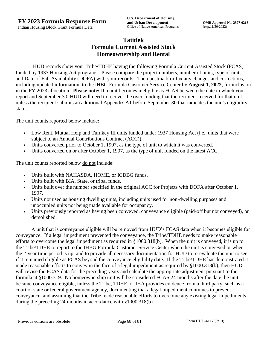## **Tatitlek Formula Current Assisted Stock Homeownership and Rental**

HUD records show your Tribe/TDHE having the following Formula Current Assisted Stock (FCAS) funded by 1937 Housing Act programs. Please compare the project numbers, number of units, type of units, and Date of Full Availability (DOFA) with your records. Then postmark or fax any changes and corrections, including updated information, to the IHBG Formula Customer Service Center by **August 1, 2022**, for inclusion in the FY 2023 allocation. **Please note:** If a unit becomes ineligible as FCAS between the date in which you report and September 30, HUD will need to recover the over-funding that the recipient received for that unit unless the recipient submits an additional Appendix A1 before September 30 that indicates the unit's eligibility status.

The unit counts reported below include:

- Low Rent, Mutual Help and Turnkey III units funded under 1937 Housing Act (i.e., units that were subject to an Annual Contributions Contract (ACC)).
- Units converted prior to October 1, 1997, as the type of unit to which it was converted.
- Units converted on or after October 1, 1997, as the type of unit funded on the latest ACC.

The unit counts reported below <u>do not</u> include:

- Units built with NAHASDA, HOME, or ICDBG funds.
- Units built with BIA, State, or tribal funds.
- Units built over the number specified in the original ACC for Projects with DOFA after October 1, 1997.
- Units not used as housing dwelling units, including units used for non-dwelling purposes and unoccupied units not being made available for occupancy.
- Units previously reported as having been conveyed, conveyance eligible (paid-off but not conveyed), or demolished.

A unit that is conveyance eligible will be removed from HUD's FCAS data when it becomes eligible for conveyance. If a legal impediment prevented the conveyance, the Tribe/TDHE needs to make reasonable efforts to overcome the legal impediment as required in §1000.318(b). When the unit is conveyed, it is up to the Tribe/TDHE to report to the IHBG Formula Customer Service Center when the unit is conveyed or when the 2-year time period is up, and to provide all necessary documentation for HUD to re-evaluate the unit to see if it remained eligible as FCAS beyond the conveyance eligibility date. If the Tribe/TDHE has demonstrated it made reasonable efforts to convey in the face of a legal impediment as required by §1000.318(b), then HUD will revise the FCAS data for the preceding years and calculate the appropriate adjustment pursuant to the formula at §1000.319. No homeownership unit will be considered FCAS 24 months after the date the unit became conveyance eligible, unless the Tribe, TDHE, or IHA provides evidence from a third party, such as a court or state or federal government agency, documenting that a legal impediment continues to prevent conveyance, and assuming that the Tribe made reasonable efforts to overcome any existing legal impediments during the preceding 24 months in accordance with §1000.318(b).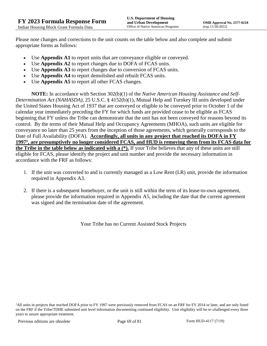Please note changes and corrections to the unit counts on the table below and also complete and submit appropriate forms as follows:

- Use **Appendix A1** to report units that are conveyance eligible or conveyed.
- Use **Appendix A2** to report changes due to DOFA of FCAS units.
- Use **Appendix A3** to report changes due to conversion of FCAS units.
- Use **Appendix A4** to report demolished and rebuilt FCAS units.
- Use **Appendix A5** to report all other FCAS changes.

**NOTE:** In accordance with Section 302(b)(1) of the *Native American Housing Assistance and Self-Determination Act (NAHASDA)*, 25 U.S.C. § 4152(b)(1), Mutual Help and Turnkey III units developed under the United States Housing Act of 1937 that are conveyed or eligible to be conveyed prior to October 1 of the calendar year immediately preceding the FY for which funds are provided cease to be eligible as FCAS beginning that FY unless the Tribe can demonstrate that the unit has not been conveyed for reasons beyond its control. By the terms of their Mutual Help and Occupancy Agreements (MHOA), such units are eligible for conveyance no later than 25 years from the inception of those agreements, which generally corresponds to the Date of Full Availability (DOFA). **Accordingly, all units in any project that reached its DOFA in FY 1997<sup>1</sup> , are presumptively no longer considered FCAS, and HUD is removing them from its FCAS data for the Tribe in the table below as indicated with a (\*).** If your Tribe believes that any of these units are still eligible for FCAS, please identify the project and unit number and provide the necessary information in accordance with the FRF as follows:

- 1. If the unit was converted to and is currently managed as a Low Rent (LR) unit, provide the information required in Appendix A3.
- 2. If there is a subsequent homebuyer, or the unit is still within the term of its lease-to-own agreement, please provide the information required in Appendix A5, including the date that the current agreement was signed and the termination date of the agreement.

Your Tribe has no Current Assisted Stock Projects

<sup>&</sup>lt;sup>1</sup>All units in projects that reached DOFA prior to FY 1997 were previously removed from FCAS on an FRF for FY 2014 or later, and are only listed on the FRF if the Tribe/TDHE submitted unit level information documenting continued eligibility. Unit eligibility will be re-challenged every three years to assure appropriate treatment.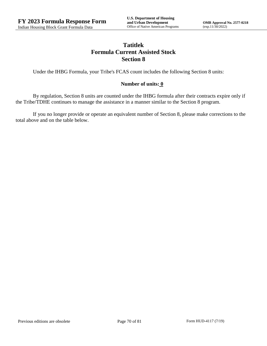# **Tatitlek Formula Current Assisted Stock Section 8**

Under the IHBG Formula, your Tribe's FCAS count includes the following Section 8 units:

### **Number of units: 0**

By regulation, Section 8 units are counted under the IHBG formula after their contracts expire only if the Tribe/TDHE continues to manage the assistance in a manner similar to the Section 8 program.

If you no longer provide or operate an equivalent number of Section 8, please make corrections to the total above and on the table below.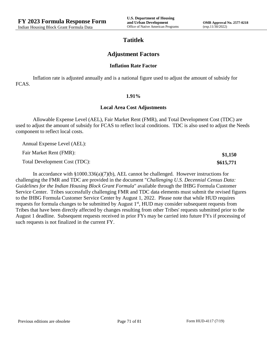**\$1,150 \$615,771**

## **Tatitlek**

## **Adjustment Factors**

### **Inflation Rate Factor**

Inflation rate is adjusted annually and is a national figure used to adjust the amount of subsidy for FCAS.

#### **1.91%**

### **Local Area Cost Adjustments**

Allowable Expense Level (AEL), Fair Market Rent (FMR), and Total Development Cost (TDC) are used to adjust the amount of subsidy for FCAS to reflect local conditions. TDC is also used to adjust the Needs component to reflect local costs.

Annual Expense Level (AEL):

Fair Market Rent (FMR):

Total Development Cost (TDC):

In accordance with §1000.336(a)(7)(b), AEL cannot be challenged. However instructions for challenging the FMR and TDC are provided in the document "*Challenging U.S. Decennial Census Data: Guidelines for the Indian Housing Block Grant Formula*" available through the IHBG Formula Customer Service Center. Tribes successfully challenging FMR and TDC data elements must submit the revised figures to the IHBG Formula Customer Service Center by August 1, 2022. Please note that while HUD requires requests for formula changes to be submitted by August 1<sup>st</sup>, HUD may consider subsequent requests from Tribes that have been directly affected by changes resulting from other Tribes' requests submitted prior to the August 1 deadline. Subsequent requests received in prior FYs may be carried into future FYs if processing of such requests is not finalized in the current FY.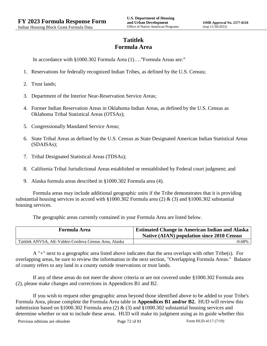# **Tatitlek Formula Area**

In accordance with §1000.302 Formula Area (1)…."Formula Areas are:"

- 1. Reservations for federally recognized Indian Tribes, as defined by the U.S. Census;
- 2. Trust lands;
- 3. Department of the Interior Near-Reservation Service Areas;
- 4. Former Indian Reservation Areas in Oklahoma Indian Areas, as defined by the U.S. Census as Oklahoma Tribal Statistical Areas (OTSAs);
- 5. Congressionally Mandated Service Areas;
- 6. State Tribal Areas as defined by the U.S. Census as State Designated American Indian Statistical Areas (SDAISAs);
- 7. Tribal Designated Statistical Areas (TDSAs);
- 8. California Tribal Jurisdictional Areas established or reestablished by Federal court judgment; and
- 9. Alaska formula areas described in §1000.302 Formula area (4).

Formula areas may include additional geographic units if the Tribe demonstrates that it is providing substantial housing services in accord with §1000.302 Formula area (2) & (3) and §1000.302 substantial housing services.

The geographic areas currently contained in your Formula Area are listed below.

| <b>Formula Area</b>                                   | <b>Estimated Change in American Indian and Alaska</b><br><b>Native (AIAN) population since 2010 Census</b> |
|-------------------------------------------------------|------------------------------------------------------------------------------------------------------------|
| Tatitlek ANVSA, AK-Valdez-Cordova Census Area, Alaska | $-0.68\%$                                                                                                  |

A "+" next to a geographic area listed above indicates that the area overlaps with other Tribe(s). For overlapping areas, be sure to review the information in the next section, "Overlapping Formula Areas." Balance of county refers to any land in a county outside reservations or trust lands.

If any of these areas do not meet the above criteria or are not covered under §1000.302 Formula area (2), please make changes and corrections in Appendices B1 and B2.

If you wish to request other geographic areas beyond those identified above to be added to your Tribe's Formula Area, please complete the Formula Area table in **Appendices B1 and/or B2.** HUD will review this submission based on §1000.302 Formula area (2)  $\&$  (3) and §1000.302 substantial housing services and determine whether or not to include these areas. HUD will make its judgment using as its guide whether this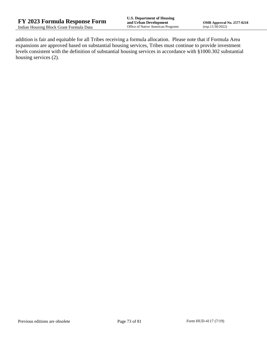addition is fair and equitable for all Tribes receiving a formula allocation. Please note that if Formula Area expansions are approved based on substantial housing services, Tribes must continue to provide investment levels consistent with the definition of substantial housing services in accordance with §1000.302 substantial housing services (2).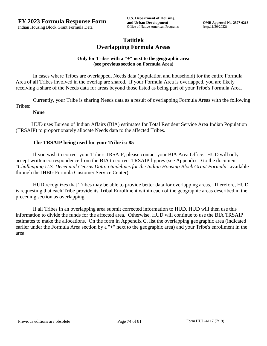# **Tatitlek Overlapping Formula Areas**

## **Only for Tribes with a "+" next to the geographic area (see previous section on Formula Area)**

In cases where Tribes are overlapped, Needs data (population and household) for the entire Formula Area of all Tribes involved in the overlap are shared. If your Formula Area is overlapped, you are likely receiving a share of the Needs data for areas beyond those listed as being part of your Tribe's Formula Area.

Currently, your Tribe is sharing Needs data as a result of overlapping Formula Areas with the following Tribes:

## **None**

HUD uses Bureau of Indian Affairs (BIA) estimates for Total Resident Service Area Indian Population (TRSAIP) to proportionately allocate Needs data to the affected Tribes.

## **The TRSAIP being used for your Tribe is: 85**

If you wish to correct your Tribe's TRSAIP, please contact your BIA Area Office. HUD will only accept written correspondence from the BIA to correct TRSAIP figures (see Appendix D to the document "*Challenging U.S. Decennial Census Data: Guidelines for the Indian Housing Block Grant Formula*" available through the IHBG Formula Customer Service Center).

HUD recognizes that Tribes may be able to provide better data for overlapping areas. Therefore, HUD is requesting that each Tribe provide its Tribal Enrollment within each of the geographic areas described in the preceding section as overlapping.

If all Tribes in an overlapping area submit corrected information to HUD, HUD will then use this information to divide the funds for the affected area. Otherwise, HUD will continue to use the BIA TRSAIP estimates to make the allocations. On the form in Appendix C, list the overlapping geographic area (indicated earlier under the Formula Area section by a "+" next to the geographic area) and your Tribe's enrollment in the area.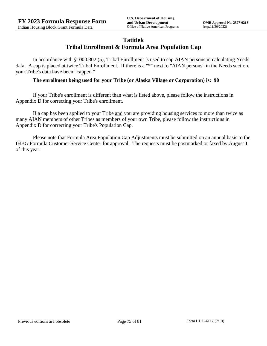## **Tatitlek**

# **Tribal Enrollment & Formula Area Population Cap**

In accordance with §1000.302 (5), Tribal Enrollment is used to cap AIAN persons in calculating Needs data. A cap is placed at twice Tribal Enrollment. If there is a "\*" next to "AIAN persons" in the Needs section, your Tribe's data have been "capped."

### **The enrollment being used for your Tribe (or Alaska Village or Corporation) is: 90**

If your Tribe's enrollment is different than what is listed above, please follow the instructions in Appendix D for correcting your Tribe's enrollment.

If a cap has been applied to your Tribe and you are providing housing services to more than twice as many AIAN members of other Tribes as members of your own Tribe, please follow the instructions in Appendix D for correcting your Tribe's Population Cap.

Please note that Formula Area Population Cap Adjustments must be submitted on an annual basis to the IHBG Formula Customer Service Center for approval. The requests must be postmarked or faxed by August 1 of this year.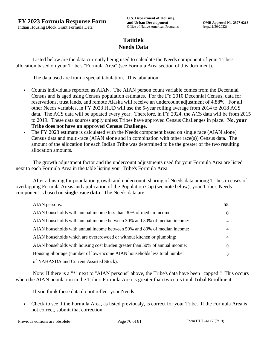# **Tatitlek Needs Data**

Listed below are the data currently being used to calculate the Needs component of your Tribe's allocation based on your Tribe's "Formula Area" (see Formula Area section of this document).

The data used are from a special tabulation. This tabulation:

- Counts individuals reported as AIAN. The AIAN person count variable comes from the Decennial Census and is aged using Census population estimates. For the FY 2010 Decennial Census, data for reservations, trust lands, and remote Alaska will receive an undercount adjustment of 4.88%. For all other Needs variables, in FY 2023 HUD will use the 5-year rolling average from 2014 to 2018 ACS data. The ACS data will be updated every year. Therefore, in FY 2024, the ACS data will be from 2015 to 2019. These data sources apply unless Tribes have approved Census Challenges in place. **No, your Tribe does not have an approved Census Challenge.**
- The FY 2023 estimate is calculated with the Needs component based on single race (AIAN alone) Census data and multi-race (AIAN alone and in combination with other race(s)) Census data. The amount of the allocation for each Indian Tribe was determined to be the greater of the two resulting allocation amounts.

The growth adjustment factor and the undercount adjustments used for your Formula Area are listed next to each Formula Area in the table listing your Tribe's Formula Area.

After adjusting for population growth and undercount, sharing of Needs data among Tribes in cases of overlapping Formula Areas and application of the Population Cap (see note below), your Tribe's Needs component is based on **single-race data**. The Needs data are:

| AIAN persons:                                                               | 55       |
|-----------------------------------------------------------------------------|----------|
| AIAN households with annual income less than 30% of median income:          | $\theta$ |
| AIAN households with annual income between 30% and 50% of median income:    | 4        |
| AIAN households with annual income between 50% and 80% of median income:    | 4        |
| AIAN households which are overcrowded or without kitchen or plumbing:       | 4        |
| AIAN households with housing cost burden greater than 50% of annual income: | $\left($ |
| Housing Shortage (number of low-income AIAN households less total number    | 8        |
| of NAHASDA and Current Assisted Stock):                                     |          |

Note: If there is a "\*" next to "AIAN persons" above, the Tribe's data have been "capped." This occurs when the AIAN population in the Tribe's Formula Area is greater than twice its total Tribal Enrollment.

If you think these data do not reflect your Needs:

 Check to see if the Formula Area, as listed previously, is correct for your Tribe. If the Formula Area is not correct, submit that correction.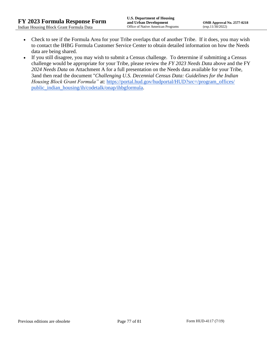- Check to see if the Formula Area for your Tribe overlaps that of another Tribe. If it does, you may wish to contact the IHBG Formula Customer Service Center to obtain detailed information on how the Needs data are being shared.
- If you still disagree, you may wish to submit a Census challenge. To determine if submitting a Census challenge would be appropriate for your Tribe, please review the *FY 2023 Needs Data* above and the FY *2024 Needs Data* on Attachment A for a full presentation on the Needs data available for your Tribe, 3and then read the document "*Challenging U.S. Decennial Census Data: Guidelines for the Indian Housing Block Grant Formula*" at: https://portal.hud.gov/hudportal/HUD?src=/program\_offices/ [public\\_indian\\_housing/ih/codetalk/onap/ihbgformula.](https://portal.hud.gov/hudportal/HUD?src=/program_offices/public_indian_housing/ih/codetalk/onap/ihbgformula)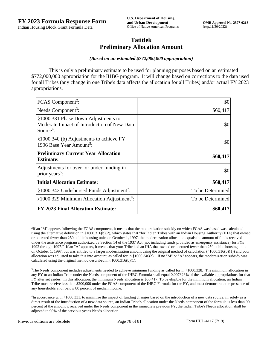## **Tatitlek Preliminary Allocation Amount**

#### *(Based on an estimated \$772,000,000 appropriation)*

This is only a preliminary estimate to be used for planning purposes based on an estimated \$772,000,000 appropriation for the IHBG program. It will change based on corrections to the data used for all Tribes (any change in one Tribe's data affects the allocation for all Tribes) and/or actual FY 2023 appropriations.

| FCAS Component <sup>2</sup> :                                                                               | \$0              |
|-------------------------------------------------------------------------------------------------------------|------------------|
| Needs Component <sup>3</sup> :                                                                              | \$60,417         |
| §1000.331 Phase Down Adjustments to<br>Moderate Impact of Introduction of New Data<br>Source <sup>4</sup> : | \$0              |
| §1000.340 (b) Adjustments to achieve FY<br>1996 Base Year Amount <sup>5</sup> :                             | \$0              |
| <b>Preliminary Current Year Allocation</b><br><b>Estimate:</b>                                              | \$60,417         |
| Adjustments for over- or under-funding in<br>prior years <sup>6</sup> :                                     | \$0              |
| <b>Initial Allocation Estimate:</b>                                                                         | \$60,417         |
| $§1000.342$ Undisbursed Funds Adjustment <sup>7</sup> :                                                     | To be Determined |
| §1000.329 Minimum Allocation Adjustment <sup>8</sup> :                                                      | To be Determined |
| <b>FY 2023 Final Allocation Estimate:</b>                                                                   | \$60,417         |

2 If an "M" appears following the FCAS component, it means that the modernization subsidy on which FCAS was based was calculated using the alternative definition in §1000.316(b)(2), which states that "for Indian Tribes with an Indian Housing Authority (IHA) that owned or operated fewer than 250 public housing units on October 1, 1997, the modernization allocation equals the amount of funds received under the assistance program authorized by Section 14 of the 1937 Act (not including funds provided as emergency assistance) for FYs 1992 through 1997." If an "A" appears, it means that your Tribe had an IHA that owned or operated fewer than 250 public housing units on October 1, 1997, but was entitled to a larger modernization amount using the original method of calculation  $(\frac{81000.316(b)(1)}{2000.316(b)(1)})$  and your allocation was adjusted to take this into account, as called for in  $\S1000.340(a)$ . If no "M" or "A" appears, the modernization subsidy was calculated using the original method described in §1000.316(b)(1).

<sup>3</sup>The Needs component includes adjustments needed to achieve minimum funding as called for in §1000.328. The minimum allocation in any FY to an Indian Tribe under the Needs component of the IHBG Formula shall equal 0.007826% of the available appropriations for that FY after set asides. In this allocation, the minimum Needs allocation is \$60,417. To be eligible for the minimum allocation, an Indian Tribe must receive less than \$200,000 under the FCAS component of the IHBG Formula for the FY, and must demonstrate the presence of any households at or below 80 percent of median income.

<sup>4</sup>In accordance with §1000.331, to minimize the impact of funding changes based on the introduction of a new data source, if, solely as a direct result of the introduction of a new data source, an Indian Tribe's allocation under the Needs component of the formula is less than 90 percent of the amount it received under the Needs component in the immediate previous FY, the Indian Tribe's Needs allocation shall be adjusted to 90% of the previous year's Needs allocation.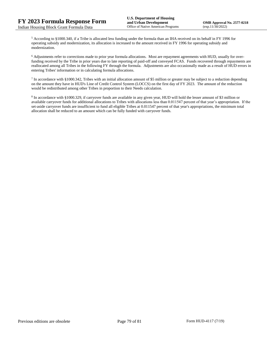<sup>5</sup> According to §1000.340, if a Tribe is allocated less funding under the formula than an IHA received on its behalf in FY 1996 for operating subsidy and modernization, its allocation is increased to the amount received in FY 1996 for operating subsidy and modernization.

<sup>6</sup> Adjustments refer to corrections made to prior year formula allocations. Most are repayment agreements with HUD, usually for overfunding received by the Tribe in prior years due to late reporting of paid-off and conveyed FCAS. Funds recovered through repayments are reallocated among all Tribes in the following FY through the formula. Adjustments are also occasionally made as a result of HUD errors in entering Tribes' information or in calculating formula allocations.

 $^7$  In accordance with §1000.342, Tribes with an initial allocation amount of \$5 million or greater may be subject to a reduction depending on the amount they have in HUD's Line of Credit Control System (LOCCS) on the first day of FY 2023. The amount of the reduction would be redistributed among other Tribes in proportion to their Needs calculation.

<sup>8</sup> In accordance with §1000.329, if carryover funds are available in any given year, HUD will hold the lesser amount of \$3 million or available carryover funds for additional allocations to Tribes with allocations less than 0.011547 percent of that year's appropriation. If the set-aside carryover funds are insufficient to fund all eligible Tribes at 0.011547 percent of that year's appropriations, the minimum total allocation shall be reduced to an amount which can be fully funded with carryover funds.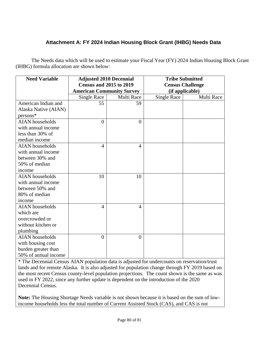# **Attachment A: FY 2024 Indian Housing Block Grant (IHBG) Needs Data**

The Needs data which will be used to estimate your Fiscal Year (FY) 2024 Indian Housing Block Grant (IHBG) formula allocation are shown below:

| <b>Need Variable</b>   | <b>Adjusted 2010 Decennial</b><br><b>Census and 2015 to 2019</b> |                | <b>Tribe Submitted</b><br><b>Census Challenge</b> |            |
|------------------------|------------------------------------------------------------------|----------------|---------------------------------------------------|------------|
|                        | <b>American Community Survey</b>                                 |                | (if applicable)                                   |            |
|                        | <b>Single Race</b>                                               | Multi Race     | <b>Single Race</b>                                | Multi Race |
| American Indian and    | 55                                                               | 59             |                                                   |            |
| Alaska Native (AIAN)   |                                                                  |                |                                                   |            |
| persons*               |                                                                  |                |                                                   |            |
| <b>AIAN</b> households | $\theta$                                                         | $\overline{0}$ |                                                   |            |
| with annual income     |                                                                  |                |                                                   |            |
| less than 30% of       |                                                                  |                |                                                   |            |
| median income          |                                                                  |                |                                                   |            |
| <b>AIAN</b> households | $\overline{4}$                                                   | $\overline{4}$ |                                                   |            |
| with annual income     |                                                                  |                |                                                   |            |
| between 30% and        |                                                                  |                |                                                   |            |
| 50% of median          |                                                                  |                |                                                   |            |
| income                 |                                                                  |                |                                                   |            |
| <b>AIAN</b> households | 10                                                               | 10             |                                                   |            |
| with annual income     |                                                                  |                |                                                   |            |
| between 50% and        |                                                                  |                |                                                   |            |
| 80% of median          |                                                                  |                |                                                   |            |
| income                 |                                                                  |                |                                                   |            |
| <b>AIAN</b> households | $\overline{4}$                                                   | $\overline{4}$ |                                                   |            |
| which are              |                                                                  |                |                                                   |            |
| overcrowded or         |                                                                  |                |                                                   |            |
| without kitchen or     |                                                                  |                |                                                   |            |
| plumbing               |                                                                  |                |                                                   |            |
| <b>AIAN</b> households | $\theta$                                                         | $\theta$       |                                                   |            |
| with housing cost      |                                                                  |                |                                                   |            |
| burden greater than    |                                                                  |                |                                                   |            |
| 50% of annual income   |                                                                  |                |                                                   |            |

\* The Decennial Census AIAN population data is adjusted for undercounts on reservation/trust lands and for remote Alaska. It is also adjusted for population change through FY 2019 based on the most recent Census county-level population projections. The count shown is the same as was used in FY 2022, since any further update is dependent on the introduction of the 2020 Decennial Census.

**Note:** The Housing Shortage Needs variable is not shown because it is based on the sum of lowincome households less the total number of Current Assisted Stock (CAS), and CAS is not